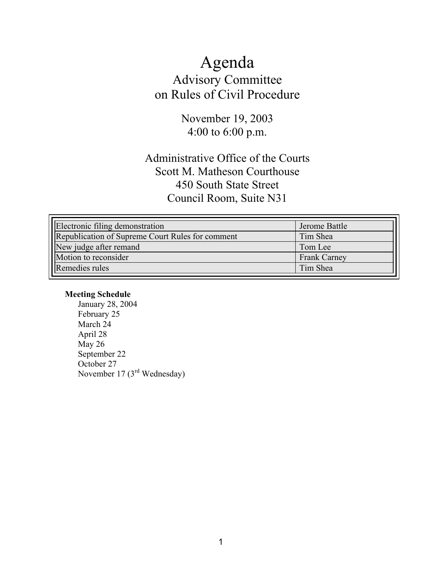# Agenda Advisory Committee on Rules of Civil Procedure

November 19, 2003 4:00 to 6:00 p.m.

## Administrative Office of the Courts Scott M. Matheson Courthouse 450 South State Street Council Room, Suite N31

| Electronic filing demonstration                         | Jerome Battle       |
|---------------------------------------------------------|---------------------|
| <b>Republication of Supreme Court Rules for comment</b> | Tim Shea            |
| New judge after remand                                  | Tom Lee             |
| Motion to reconsider                                    | <b>Frank Carney</b> |
| Remedies rules                                          | Tim Shea            |

## **Meeting Schedule**

January 28, 2004 February 25 March 24 April 28 May 26 September 22 October 27 November 17 ( $3<sup>rd</sup>$  Wednesday)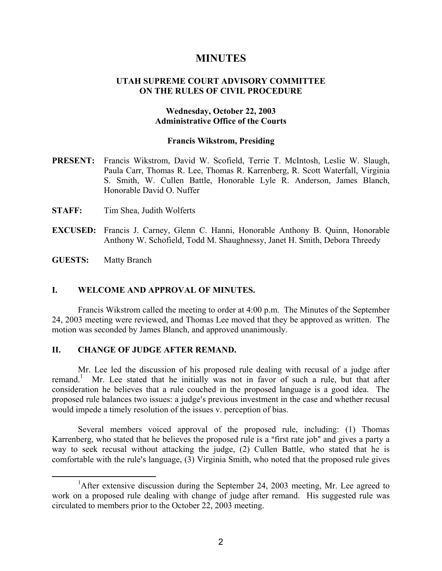## **MINUTES**

## **UTAH SUPREME COURT ADVISORY COMMITTEE ON THE RULES OF CIVIL PROCEDURE**

## **Wednesday, October 22, 2003 Administrative Office of the Courts**

### **Francis Wikstrom, Presiding**

- **PRESENT:** Francis Wikstrom, David W. Scofield, Terrie T. McIntosh, Leslie W. Slaugh, Paula Carr, Thomas R. Lee, Thomas R. Karrenberg, R. Scott Waterfall, Virginia S. Smith, W. Cullen Battle, Honorable Lyle R. Anderson, James Blanch, Honorable David O. Nuffer
- **STAFF:** Tim Shea, Judith Wolferts
- **EXCUSED:** Francis J. Carney, Glenn C. Hanni, Honorable Anthony B. Quinn, Honorable Anthony W. Schofield, Todd M. Shaughnessy, Janet H. Smith, Debora Threedy

**GUESTS:** Matty Branch

## **I. WELCOME AND APPROVAL OF MINUTES.**

Francis Wikstrom called the meeting to order at 4:00 p.m. The Minutes of the September 24, 2003 meeting were reviewed, and Thomas Lee moved that they be approved as written. The motion was seconded by James Blanch, and approved unanimously.

## **II. CHANGE OF JUDGE AFTER REMAND.**

Mr. Lee led the discussion of his proposed rule dealing with recusal of a judge after remand.<sup>1</sup> Mr. Lee stated that he initially was not in favor of such a rule, but that after consideration he believes that a rule couched in the proposed language is a good idea. The proposed rule balances two issues: a judge's previous investment in the case and whether recusal would impede a timely resolution of the issues v. perception of bias.

Several members voiced approval of the proposed rule, including: (1) Thomas Karrenberg, who stated that he believes the proposed rule is a "first rate job" and gives a party a way to seek recusal without attacking the judge, (2) Cullen Battle, who stated that he is comfortable with the rule's language, (3) Virginia Smith, who noted that the proposed rule gives

<sup>&</sup>lt;u>1</u> <sup>1</sup>After extensive discussion during the September 24, 2003 meeting, Mr. Lee agreed to work on a proposed rule dealing with change of judge after remand. His suggested rule was circulated to members prior to the October 22, 2003 meeting.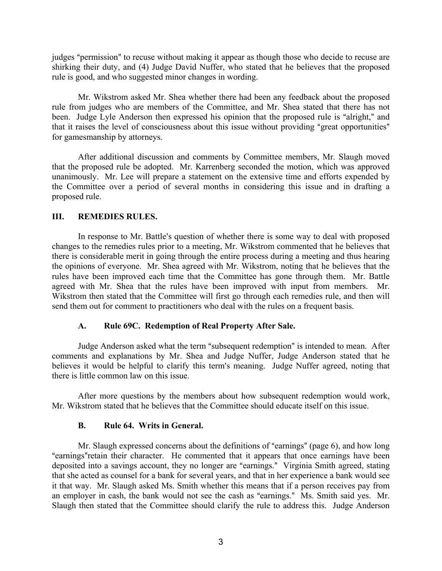judges "permission" to recuse without making it appear as though those who decide to recuse are shirking their duty, and (4) Judge David Nuffer, who stated that he believes that the proposed rule is good, and who suggested minor changes in wording.

Mr. Wikstrom asked Mr. Shea whether there had been any feedback about the proposed rule from judges who are members of the Committee, and Mr. Shea stated that there has not been. Judge Lyle Anderson then expressed his opinion that the proposed rule is "alright," and that it raises the level of consciousness about this issue without providing "great opportunities" for gamesmanship by attorneys.

After additional discussion and comments by Committee members, Mr. Slaugh moved that the proposed rule be adopted. Mr. Karrenberg seconded the motion, which was approved unanimously. Mr. Lee will prepare a statement on the extensive time and efforts expended by the Committee over a period of several months in considering this issue and in drafting a proposed rule.

## **III. REMEDIES RULES.**

In response to Mr. Battle's question of whether there is some way to deal with proposed changes to the remedies rules prior to a meeting, Mr. Wikstrom commented that he believes that there is considerable merit in going through the entire process during a meeting and thus hearing the opinions of everyone. Mr. Shea agreed with Mr. Wikstrom, noting that he believes that the rules have been improved each time that the Committee has gone through them. Mr. Battle agreed with Mr. Shea that the rules have been improved with input from members. Mr. Wikstrom then stated that the Committee will first go through each remedies rule, and then will send them out for comment to practitioners who deal with the rules on a frequent basis.

## **A. Rule 69C. Redemption of Real Property After Sale.**

Judge Anderson asked what the term "subsequent redemption" is intended to mean. After comments and explanations by Mr. Shea and Judge Nuffer, Judge Anderson stated that he believes it would be helpful to clarify this term's meaning. Judge Nuffer agreed, noting that there is little common law on this issue.

After more questions by the members about how subsequent redemption would work, Mr. Wikstrom stated that he believes that the Committee should educate itself on this issue.

## **B. Rule 64. Writs in General.**

Mr. Slaugh expressed concerns about the definitions of "earnings" (page  $6$ ), and how long "earnings" retain their character. He commented that it appears that once earnings have been deposited into a savings account, they no longer are "earnings." Virginia Smith agreed, stating that she acted as counsel for a bank for several years, and that in her experience a bank would see it that way. Mr. Slaugh asked Ms. Smith whether this means that if a person receives pay from an employer in cash, the bank would not see the cash as "earnings." Ms. Smith said yes. Mr. Slaugh then stated that the Committee should clarify the rule to address this. Judge Anderson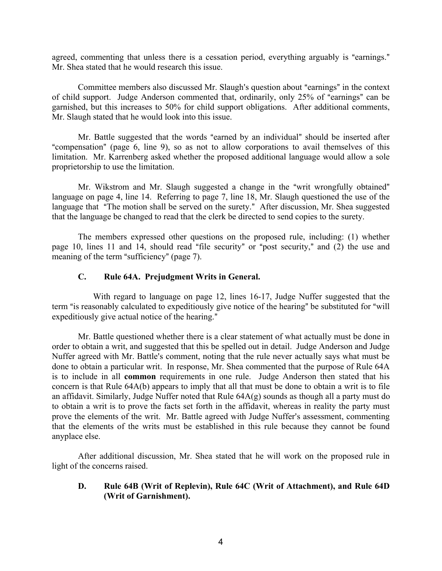agreed, commenting that unless there is a cessation period, everything arguably is "earnings." Mr. Shea stated that he would research this issue.

Committee members also discussed Mr. Slaugh's question about "earnings" in the context of child support. Judge Anderson commented that, ordinarily, only 25% of "earnings" can be garnished, but this increases to 50% for child support obligations. After additional comments, Mr. Slaugh stated that he would look into this issue.

Mr. Battle suggested that the words "earned by an individual" should be inserted after "compensation" (page 6, line 9), so as not to allow corporations to avail themselves of this limitation. Mr. Karrenberg asked whether the proposed additional language would allow a sole proprietorship to use the limitation.

Mr. Wikstrom and Mr. Slaugh suggested a change in the "writ wrongfully obtained" language on page 4, line 14. Referring to page 7, line 18, Mr. Slaugh questioned the use of the language that "The motion shall be served on the surety." After discussion, Mr. Shea suggested that the language be changed to read that the clerk be directed to send copies to the surety.

The members expressed other questions on the proposed rule, including: (1) whether page 10, lines 11 and 14, should read "file security" or "post security," and  $(2)$  the use and meaning of the term "sufficiency" (page 7).

## **C. Rule 64A. Prejudgment Writs in General.**

 With regard to language on page 12, lines 16-17, Judge Nuffer suggested that the term "is reasonably calculated to expeditiously give notice of the hearing" be substituted for "will expeditiously give actual notice of the hearing."

Mr. Battle questioned whether there is a clear statement of what actually must be done in order to obtain a writ, and suggested that this be spelled out in detail. Judge Anderson and Judge Nuffer agreed with Mr. Battle's comment, noting that the rule never actually says what must be done to obtain a particular writ. In response, Mr. Shea commented that the purpose of Rule 64A is to include in all **common** requirements in one rule. Judge Anderson then stated that his concern is that Rule 64A(b) appears to imply that all that must be done to obtain a writ is to file an affidavit. Similarly, Judge Nuffer noted that Rule 64A(g) sounds as though all a party must do to obtain a writ is to prove the facts set forth in the affidavit, whereas in reality the party must prove the elements of the writ. Mr. Battle agreed with Judge Nuffer's assessment, commenting that the elements of the writs must be established in this rule because they cannot be found anyplace else.

After additional discussion, Mr. Shea stated that he will work on the proposed rule in light of the concerns raised.

## **D. Rule 64B (Writ of Replevin), Rule 64C (Writ of Attachment), and Rule 64D (Writ of Garnishment).**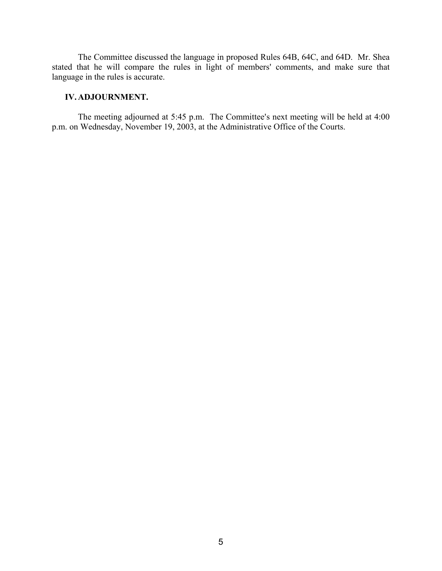The Committee discussed the language in proposed Rules 64B, 64C, and 64D. Mr. Shea stated that he will compare the rules in light of members' comments, and make sure that language in the rules is accurate.

## **IV. ADJOURNMENT.**

The meeting adjourned at  $5:45$  p.m. The Committee's next meeting will be held at  $4:00$ p.m. on Wednesday, November 19, 2003, at the Administrative Office of the Courts.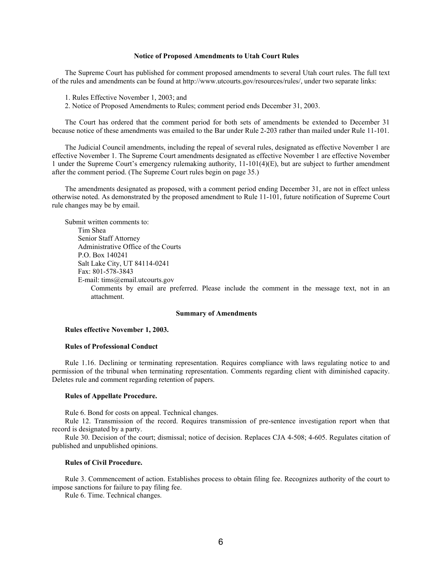#### **Notice of Proposed Amendments to Utah Court Rules**

The Supreme Court has published for comment proposed amendments to several Utah court rules. The full text of the rules and amendments can be found at http://www.utcourts.gov/resources/rules/, under two separate links:

- 1. Rules Effective November 1, 2003; and
- 2. Notice of Proposed Amendments to Rules; comment period ends December 31, 2003.

The Court has ordered that the comment period for both sets of amendments be extended to December 31 because notice of these amendments was emailed to the Bar under Rule 2-203 rather than mailed under Rule 11-101.

The Judicial Council amendments, including the repeal of several rules, designated as effective November 1 are effective November 1. The Supreme Court amendments designated as effective November 1 are effective November 1 under the Supreme Court's emergency rulemaking authority, 11-101(4)(E), but are subject to further amendment after the comment period. (The Supreme Court rules begin on page 35.)

The amendments designated as proposed, with a comment period ending December 31, are not in effect unless otherwise noted. As demonstrated by the proposed amendment to Rule 11-101, future notification of Supreme Court rule changes may be by email.

Submit written comments to: Tim Shea Senior Staff Attorney Administrative Office of the Courts P.O. Box 140241 Salt Lake City, UT 84114-0241 Fax: 801-578-3843 E-mail: tims@email.utcourts.gov

Comments by email are preferred. Please include the comment in the message text, not in an attachment.

#### **Summary of Amendments**

#### **Rules effective November 1, 2003.**

#### **Rules of Professional Conduct**

Rule 1.16. Declining or terminating representation. Requires compliance with laws regulating notice to and permission of the tribunal when terminating representation. Comments regarding client with diminished capacity. Deletes rule and comment regarding retention of papers.

#### **Rules of Appellate Procedure.**

Rule 6. Bond for costs on appeal. Technical changes.

Rule 12. Transmission of the record. Requires transmission of pre-sentence investigation report when that record is designated by a party.

Rule 30. Decision of the court; dismissal; notice of decision. Replaces CJA 4-508; 4-605. Regulates citation of published and unpublished opinions.

#### **Rules of Civil Procedure.**

Rule 3. Commencement of action. Establishes process to obtain filing fee. Recognizes authority of the court to impose sanctions for failure to pay filing fee.

Rule 6. Time. Technical changes.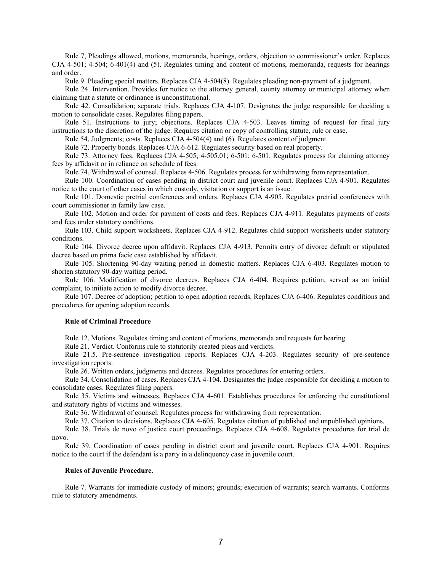Rule 7, Pleadings allowed, motions, memoranda, hearings, orders, objection to commissioner's order. Replaces CJA 4-501; 4-504; 6-401(4) and (5). Regulates timing and content of motions, memoranda, requests for hearings and order.

Rule 9. Pleading special matters. Replaces CJA 4-504(8). Regulates pleading non-payment of a judgment.

Rule 24. Intervention. Provides for notice to the attorney general, county attorney or municipal attorney when claiming that a statute or ordinance is unconstitutional.

Rule 42. Consolidation; separate trials. Replaces CJA 4-107. Designates the judge responsible for deciding a motion to consolidate cases. Regulates filing papers.

Rule 51. Instructions to jury; objections. Replaces CJA 4-503. Leaves timing of request for final jury instructions to the discretion of the judge. Requires citation or copy of controlling statute, rule or case.

Rule 54, Judgments; costs. Replaces CJA 4-504(4) and (6). Regulates content of judgment.

Rule 72. Property bonds. Replaces CJA 6-612. Regulates security based on real property.

Rule 73. Attorney fees. Replaces CJA 4-505; 4-505.01; 6-501; 6-501. Regulates process for claiming attorney fees by affidavit or in reliance on schedule of fees.

Rule 74. Withdrawal of counsel. Replaces 4-506. Regulates process for withdrawing from representation.

Rule 100. Coordination of cases pending in district court and juvenile court. Replaces CJA 4-901. Regulates notice to the court of other cases in which custody, visitation or support is an issue.

Rule 101. Domestic pretrial conferences and orders. Replaces CJA 4-905. Regulates pretrial conferences with court commissioner in family law case.

Rule 102. Motion and order for payment of costs and fees. Replaces CJA 4-911. Regulates payments of costs and fees under statutory conditions.

Rule 103. Child support worksheets. Replaces CJA 4-912. Regulates child support worksheets under statutory conditions.

Rule 104. Divorce decree upon affidavit. Replaces CJA 4-913. Permits entry of divorce default or stipulated decree based on prima facie case established by affidavit.

Rule 105. Shortening 90-day waiting period in domestic matters. Replaces CJA 6-403. Regulates motion to shorten statutory 90-day waiting period.

Rule 106. Modification of divorce decrees. Replaces CJA 6-404. Requires petition, served as an initial complaint, to initiate action to modify divorce decree.

Rule 107. Decree of adoption; petition to open adoption records. Replaces CJA 6-406. Regulates conditions and procedures for opening adoption records.

#### **Rule of Criminal Procedure**

Rule 12. Motions. Regulates timing and content of motions, memoranda and requests for hearing.

Rule 21. Verdict. Conforms rule to statutorily created pleas and verdicts.

Rule 21.5. Pre-sentence investigation reports. Replaces CJA 4-203. Regulates security of pre-sentence investigation reports.

Rule 26. Written orders, judgments and decrees. Regulates procedures for entering orders.

Rule 34. Consolidation of cases. Replaces CJA 4-104. Designates the judge responsible for deciding a motion to consolidate cases. Regulates filing papers.

Rule 35. Victims and witnesses. Replaces CJA 4-601. Establishes procedures for enforcing the constitutional and statutory rights of victims and witnesses.

Rule 36. Withdrawal of counsel. Regulates process for withdrawing from representation.

Rule 37. Citation to decisions. Replaces CJA 4-605. Regulates citation of published and unpublished opinions.

Rule 38. Trials de novo of justice court proceedings. Replaces CJA 4-608. Regulates procedures for trial de novo.

Rule 39. Coordination of cases pending in district court and juvenile court. Replaces CJA 4-901. Requires notice to the court if the defendant is a party in a delinquency case in juvenile court.

#### **Rules of Juvenile Procedure.**

Rule 7. Warrants for immediate custody of minors; grounds; execution of warrants; search warrants. Conforms rule to statutory amendments.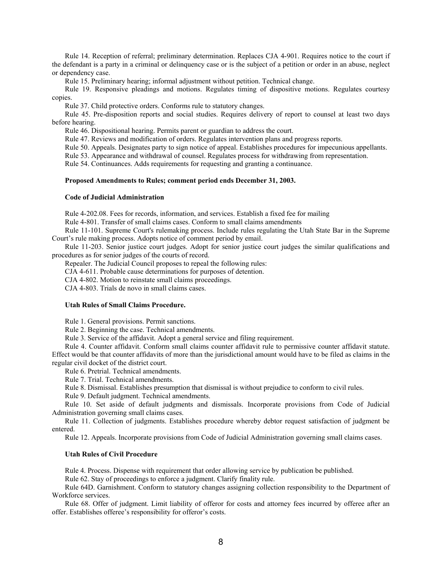Rule 14. Reception of referral; preliminary determination. Replaces CJA 4-901. Requires notice to the court if the defendant is a party in a criminal or delinquency case or is the subject of a petition or order in an abuse, neglect or dependency case.

Rule 15. Preliminary hearing; informal adjustment without petition. Technical change.

Rule 19. Responsive pleadings and motions. Regulates timing of dispositive motions. Regulates courtesy copies.

Rule 37. Child protective orders. Conforms rule to statutory changes.

Rule 45. Pre-disposition reports and social studies. Requires delivery of report to counsel at least two days before hearing.

Rule 46. Dispositional hearing. Permits parent or guardian to address the court.

Rule 47. Reviews and modification of orders. Regulates intervention plans and progress reports.

Rule 50. Appeals. Designates party to sign notice of appeal. Establishes procedures for impecunious appellants.

Rule 53. Appearance and withdrawal of counsel. Regulates process for withdrawing from representation.

Rule 54. Continuances. Adds requirements for requesting and granting a continuance.

#### **Proposed Amendments to Rules; comment period ends December 31, 2003.**

#### **Code of Judicial Administration**

Rule 4-202.08. Fees for records, information, and services. Establish a fixed fee for mailing

Rule 4-801. Transfer of small claims cases. Conform to small claims amendments

Rule 11-101. Supreme Court's rulemaking process. Include rules regulating the Utah State Bar in the Supreme Court's rule making process. Adopts notice of comment period by email.

Rule 11-203. Senior justice court judges. Adopt for senior justice court judges the similar qualifications and procedures as for senior judges of the courts of record.

Repealer. The Judicial Council proposes to repeal the following rules:

CJA 4-611. Probable cause determinations for purposes of detention.

CJA 4-802. Motion to reinstate small claims proceedings.

CJA 4-803. Trials de novo in small claims cases.

#### **Utah Rules of Small Claims Procedure.**

Rule 1. General provisions. Permit sanctions.

Rule 2. Beginning the case. Technical amendments.

Rule 3. Service of the affidavit. Adopt a general service and filing requirement.

Rule 4. Counter affidavit. Conform small claims counter affidavit rule to permissive counter affidavit statute. Effect would be that counter affidavits of more than the jurisdictional amount would have to be filed as claims in the regular civil docket of the district court.

Rule 6. Pretrial. Technical amendments.

Rule 7. Trial. Technical amendments.

Rule 8. Dismissal. Establishes presumption that dismissal is without prejudice to conform to civil rules.

Rule 9. Default judgment. Technical amendments.

Rule 10. Set aside of default judgments and dismissals. Incorporate provisions from Code of Judicial Administration governing small claims cases.

Rule 11. Collection of judgments. Establishes procedure whereby debtor request satisfaction of judgment be entered.

Rule 12. Appeals. Incorporate provisions from Code of Judicial Administration governing small claims cases.

#### **Utah Rules of Civil Procedure**

Rule 4. Process. Dispense with requirement that order allowing service by publication be published.

Rule 62. Stay of proceedings to enforce a judgment. Clarify finality rule.

Rule 64D. Garnishment. Conform to statutory changes assigning collection responsibility to the Department of Workforce services.

Rule 68. Offer of judgment. Limit liability of offeror for costs and attorney fees incurred by offeree after an offer. Establishes offeree's responsibility for offeror's costs.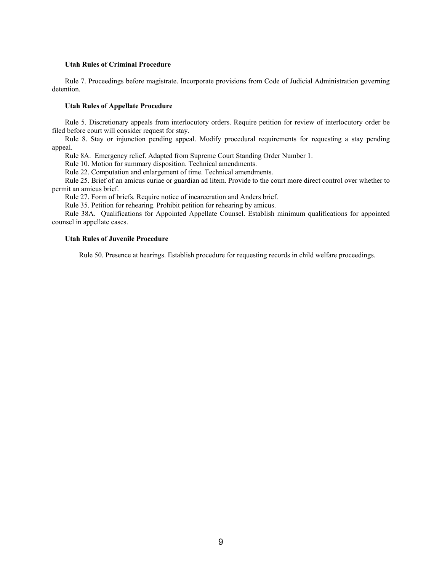#### **Utah Rules of Criminal Procedure**

Rule 7. Proceedings before magistrate. Incorporate provisions from Code of Judicial Administration governing detention.

#### **Utah Rules of Appellate Procedure**

Rule 5. Discretionary appeals from interlocutory orders. Require petition for review of interlocutory order be filed before court will consider request for stay.

Rule 8. Stay or injunction pending appeal. Modify procedural requirements for requesting a stay pending appeal.

Rule 8A. Emergency relief. Adapted from Supreme Court Standing Order Number 1.

Rule 10. Motion for summary disposition. Technical amendments.

Rule 22. Computation and enlargement of time. Technical amendments.

Rule 25. Brief of an amicus curiae or guardian ad litem. Provide to the court more direct control over whether to permit an amicus brief.

Rule 27. Form of briefs. Require notice of incarceration and Anders brief.

Rule 35. Petition for rehearing. Prohibit petition for rehearing by amicus.

Rule 38A. Qualifications for Appointed Appellate Counsel. Establish minimum qualifications for appointed counsel in appellate cases.

#### **Utah Rules of Juvenile Procedure**

Rule 50. Presence at hearings. Establish procedure for requesting records in child welfare proceedings.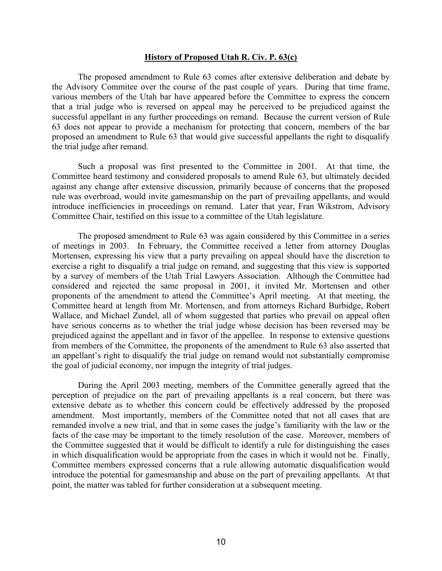### **History of Proposed Utah R. Civ. P. 63(c)**

 The proposed amendment to Rule 63 comes after extensive deliberation and debate by the Advisory Commitee over the course of the past couple of years. During that time frame, various members of the Utah bar have appeared before the Committee to express the concern that a trial judge who is reversed on appeal may be perceived to be prejudiced against the successful appellant in any further proceedings on remand. Because the current version of Rule 63 does not appear to provide a mechanism for protecting that concern, members of the bar proposed an amendment to Rule 63 that would give successful appellants the right to disqualify the trial judge after remand.

 Such a proposal was first presented to the Committee in 2001. At that time, the Committee heard testimony and considered proposals to amend Rule 63, but ultimately decided against any change after extensive discussion, primarily because of concerns that the proposed rule was overbroad, would invite gamesmanship on the part of prevailing appellants, and would introduce inefficiencies in proceedings on remand. Later that year, Fran Wikstrom, Advisory Committee Chair, testified on this issue to a committee of the Utah legislature.

 The proposed amendment to Rule 63 was again considered by this Committee in a series of meetings in 2003. In February, the Committee received a letter from attorney Douglas Mortensen, expressing his view that a party prevailing on appeal should have the discretion to exercise a right to disqualify a trial judge on remand, and suggesting that this view is supported by a survey of members of the Utah Trial Lawyers Association. Although the Committee had considered and rejected the same proposal in 2001, it invited Mr. Mortensen and other proponents of the amendment to attend the Committee's April meeting. At that meeting, the Committee heard at length from Mr. Mortensen, and from attorneys Richard Burbidge, Robert Wallace, and Michael Zundel, all of whom suggested that parties who prevail on appeal often have serious concerns as to whether the trial judge whose decision has been reversed may be prejudiced against the appellant and in favor of the appellee. In response to extensive questions from members of the Committee, the proponents of the amendment to Rule 63 also asserted that an appellant's right to disqualify the trial judge on remand would not substantially compromise the goal of judicial economy, nor impugn the integrity of trial judges.

 During the April 2003 meeting, members of the Committee generally agreed that the perception of prejudice on the part of prevailing appellants is a real concern, but there was extensive debate as to whether this concern could be effectively addressed by the proposed amendment. Most importantly, members of the Committee noted that not all cases that are remanded involve a new trial, and that in some cases the judge's familiarity with the law or the facts of the case may be important to the timely resolution of the case. Moreover, members of the Committee suggested that it would be difficult to identify a rule for distinguishing the cases in which disqualification would be appropriate from the cases in which it would not be. Finally, Committee members expressed concerns that a rule allowing automatic disqualification would introduce the potential for gamesmanship and abuse on the part of prevailing appellants. At that point, the matter was tabled for further consideration at a subsequent meeting.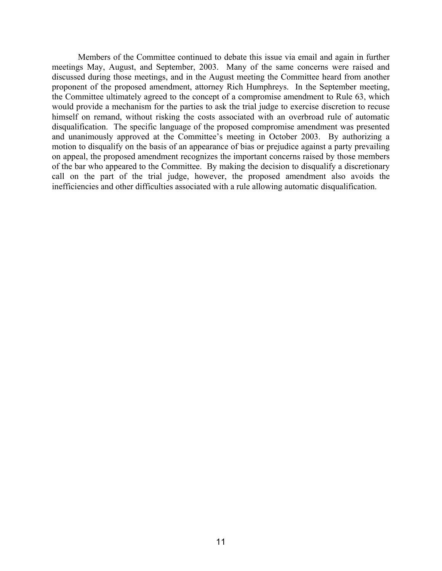Members of the Committee continued to debate this issue via email and again in further meetings May, August, and September, 2003. Many of the same concerns were raised and discussed during those meetings, and in the August meeting the Committee heard from another proponent of the proposed amendment, attorney Rich Humphreys. In the September meeting, the Committee ultimately agreed to the concept of a compromise amendment to Rule 63, which would provide a mechanism for the parties to ask the trial judge to exercise discretion to recuse himself on remand, without risking the costs associated with an overbroad rule of automatic disqualification. The specific language of the proposed compromise amendment was presented and unanimously approved at the Committee's meeting in October 2003. By authorizing a motion to disqualify on the basis of an appearance of bias or prejudice against a party prevailing on appeal, the proposed amendment recognizes the important concerns raised by those members of the bar who appeared to the Committee. By making the decision to disqualify a discretionary call on the part of the trial judge, however, the proposed amendment also avoids the inefficiencies and other difficulties associated with a rule allowing automatic disqualification.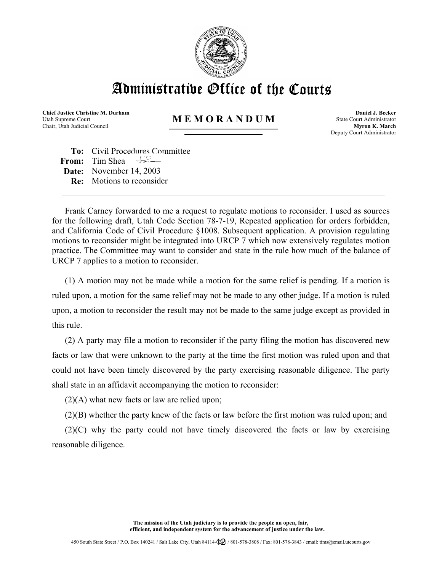

# Administrative Office of the Courts

**Chief Justice Christine M. Durham**  Utah Supreme Court Chair, Utah Judicial Council

## **M E M O R A N D U M**

**Daniel J. Becker** State Court Administrator **Myron K. March** Deputy Court Administrator

**To:** Civil Procedures Committee **From:** Tim Shea **Date:** November 14, 2003 **Re:** Motions to reconsider

Frank Carney forwarded to me a request to regulate motions to reconsider. I used as sources for the following draft, Utah Code Section 78-7-19, Repeated application for orders forbidden, and California Code of Civil Procedure §1008. Subsequent application. A provision regulating motions to reconsider might be integrated into URCP 7 which now extensively regulates motion practice. The Committee may want to consider and state in the rule how much of the balance of URCP 7 applies to a motion to reconsider.

(1) A motion may not be made while a motion for the same relief is pending. If a motion is ruled upon, a motion for the same relief may not be made to any other judge. If a motion is ruled upon, a motion to reconsider the result may not be made to the same judge except as provided in this rule.

(2) A party may file a motion to reconsider if the party filing the motion has discovered new facts or law that were unknown to the party at the time the first motion was ruled upon and that could not have been timely discovered by the party exercising reasonable diligence. The party shall state in an affidavit accompanying the motion to reconsider:

(2)(A) what new facts or law are relied upon;

(2)(B) whether the party knew of the facts or law before the first motion was ruled upon; and

(2)(C) why the party could not have timely discovered the facts or law by exercising reasonable diligence.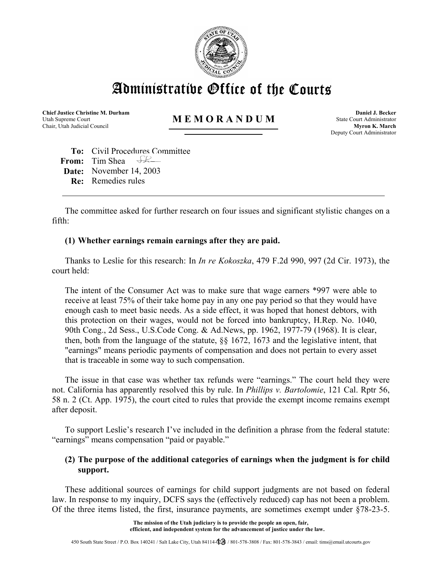

Administratibe Office of the Courts

**Chief Justice Christine M. Durham**  Utah Supreme Court Chair, Utah Judicial Council

## **M E M O R A N D U M**

**Daniel J. Becker** State Court Administrator **Myron K. March** Deputy Court Administrator

**To:** Civil Procedures Committee **From:** Tim Shea **Date:** November 14, 2003 **Re:** Remedies rules

The committee asked for further research on four issues and significant stylistic changes on a fifth:

## **(1) Whether earnings remain earnings after they are paid.**

Thanks to Leslie for this research: In *In re Kokoszka*, 479 F.2d 990, 997 (2d Cir. 1973), the court held:

The intent of the Consumer Act was to make sure that wage earners \*997 were able to receive at least 75% of their take home pay in any one pay period so that they would have enough cash to meet basic needs. As a side effect, it was hoped that honest debtors, with this protection on their wages, would not be forced into bankruptcy, H.Rep. No. 1040, 90th Cong., 2d Sess., U.S.Code Cong. & Ad.News, pp. 1962, 1977-79 (1968). It is clear, then, both from the language of the statute, §§ 1672, 1673 and the legislative intent, that "earnings" means periodic payments of compensation and does not pertain to every asset that is traceable in some way to such compensation.

The issue in that case was whether tax refunds were "earnings." The court held they were not. California has apparently resolved this by rule. In *Phillips v. Bartolomie*, 121 Cal. Rptr 56, 58 n. 2 (Ct. App. 1975), the court cited to rules that provide the exempt income remains exempt after deposit.

To support Leslie's research I've included in the definition a phrase from the federal statute: "earnings" means compensation "paid or payable."

## **(2) The purpose of the additional categories of earnings when the judgment is for child support.**

These additional sources of earnings for child support judgments are not based on federal law. In response to my inquiry, DCFS says the (effectively reduced) cap has not been a problem. Of the three items listed, the first, insurance payments, are sometimes exempt under §78-23-5.

> **The mission of the Utah judiciary is to provide the people an open, fair, efficient, and independent system for the advancement of justice under the law.**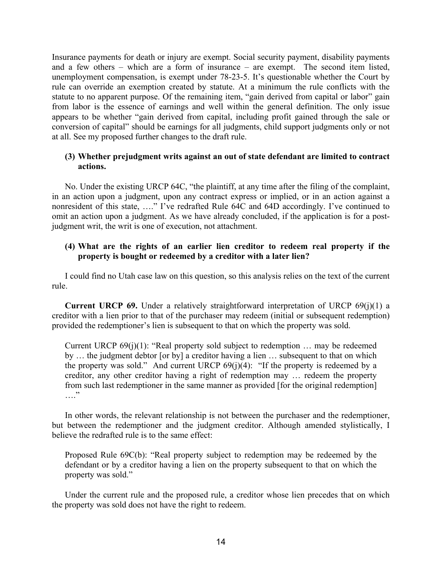Insurance payments for death or injury are exempt. Social security payment, disability payments and a few others – which are a form of insurance – are exempt. The second item listed, unemployment compensation, is exempt under 78-23-5. It's questionable whether the Court by rule can override an exemption created by statute. At a minimum the rule conflicts with the statute to no apparent purpose. Of the remaining item, "gain derived from capital or labor" gain from labor is the essence of earnings and well within the general definition. The only issue appears to be whether "gain derived from capital, including profit gained through the sale or conversion of capital" should be earnings for all judgments, child support judgments only or not at all. See my proposed further changes to the draft rule.

## **(3) Whether prejudgment writs against an out of state defendant are limited to contract actions.**

No. Under the existing URCP 64C, "the plaintiff, at any time after the filing of the complaint, in an action upon a judgment, upon any contract express or implied, or in an action against a nonresident of this state, …." I've redrafted Rule 64C and 64D accordingly. I've continued to omit an action upon a judgment. As we have already concluded, if the application is for a postjudgment writ, the writ is one of execution, not attachment.

## **(4) What are the rights of an earlier lien creditor to redeem real property if the property is bought or redeemed by a creditor with a later lien?**

I could find no Utah case law on this question, so this analysis relies on the text of the current rule.

**Current URCP 69.** Under a relatively straightforward interpretation of URCP 69(j)(1) a creditor with a lien prior to that of the purchaser may redeem (initial or subsequent redemption) provided the redemptioner's lien is subsequent to that on which the property was sold.

Current URCP 69(j)(1): "Real property sold subject to redemption … may be redeemed by … the judgment debtor [or by] a creditor having a lien … subsequent to that on which the property was sold." And current URCP  $69(j)(4)$ : "If the property is redeemed by a creditor, any other creditor having a right of redemption may … redeem the property from such last redemptioner in the same manner as provided [for the original redemption]  $\cdots$ 

In other words, the relevant relationship is not between the purchaser and the redemptioner, but between the redemptioner and the judgment creditor. Although amended stylistically, I believe the redrafted rule is to the same effect:

Proposed Rule 69C(b): "Real property subject to redemption may be redeemed by the defendant or by a creditor having a lien on the property subsequent to that on which the property was sold."

Under the current rule and the proposed rule, a creditor whose lien precedes that on which the property was sold does not have the right to redeem.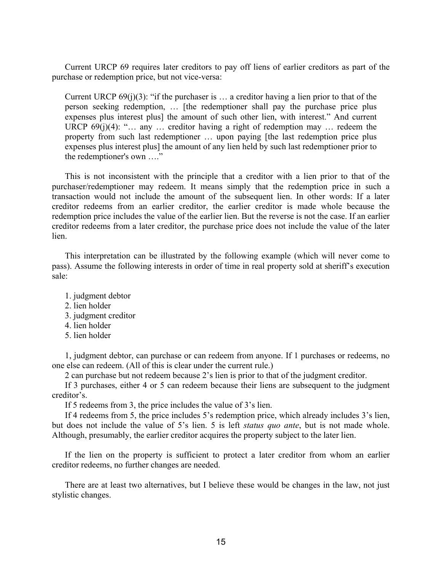Current URCP 69 requires later creditors to pay off liens of earlier creditors as part of the purchase or redemption price, but not vice-versa:

Current URCP  $69(j)(3)$ : "if the purchaser is ... a creditor having a lien prior to that of the person seeking redemption, … [the redemptioner shall pay the purchase price plus expenses plus interest plus] the amount of such other lien, with interest." And current URCP  $69(i)(4)$ : "... any ... creditor having a right of redemption may ... redeem the property from such last redemptioner … upon paying [the last redemption price plus expenses plus interest plus] the amount of any lien held by such last redemptioner prior to the redemptioner's own …."

This is not inconsistent with the principle that a creditor with a lien prior to that of the purchaser/redemptioner may redeem. It means simply that the redemption price in such a transaction would not include the amount of the subsequent lien. In other words: If a later creditor redeems from an earlier creditor, the earlier creditor is made whole because the redemption price includes the value of the earlier lien. But the reverse is not the case. If an earlier creditor redeems from a later creditor, the purchase price does not include the value of the later lien.

This interpretation can be illustrated by the following example (which will never come to pass). Assume the following interests in order of time in real property sold at sheriff's execution sale:

- 1. judgment debtor
- 2. lien holder
- 3. judgment creditor
- 4. lien holder
- 5. lien holder

1, judgment debtor, can purchase or can redeem from anyone. If 1 purchases or redeems, no one else can redeem. (All of this is clear under the current rule.)

2 can purchase but not redeem because 2's lien is prior to that of the judgment creditor.

If 3 purchases, either 4 or 5 can redeem because their liens are subsequent to the judgment creditor's.

If 5 redeems from 3, the price includes the value of 3's lien.

If 4 redeems from 5, the price includes 5's redemption price, which already includes 3's lien, but does not include the value of 5's lien. 5 is left *status quo ante*, but is not made whole. Although, presumably, the earlier creditor acquires the property subject to the later lien.

If the lien on the property is sufficient to protect a later creditor from whom an earlier creditor redeems, no further changes are needed.

There are at least two alternatives, but I believe these would be changes in the law, not just stylistic changes.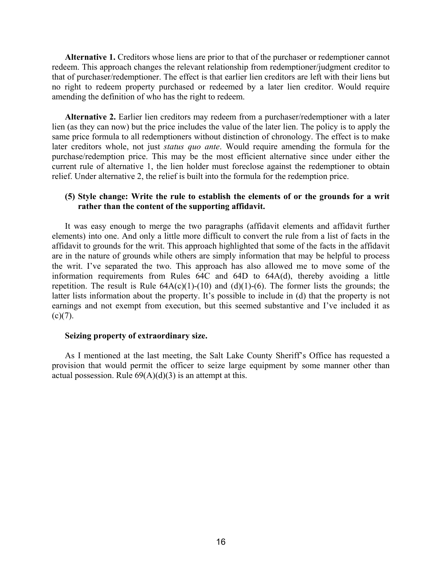**Alternative 1.** Creditors whose liens are prior to that of the purchaser or redemptioner cannot redeem. This approach changes the relevant relationship from redemptioner/judgment creditor to that of purchaser/redemptioner. The effect is that earlier lien creditors are left with their liens but no right to redeem property purchased or redeemed by a later lien creditor. Would require amending the definition of who has the right to redeem.

**Alternative 2.** Earlier lien creditors may redeem from a purchaser/redemptioner with a later lien (as they can now) but the price includes the value of the later lien. The policy is to apply the same price formula to all redemptioners without distinction of chronology. The effect is to make later creditors whole, not just *status quo ante*. Would require amending the formula for the purchase/redemption price. This may be the most efficient alternative since under either the current rule of alternative 1, the lien holder must foreclose against the redemptioner to obtain relief. Under alternative 2, the relief is built into the formula for the redemption price.

## **(5) Style change: Write the rule to establish the elements of or the grounds for a writ rather than the content of the supporting affidavit.**

It was easy enough to merge the two paragraphs (affidavit elements and affidavit further elements) into one. And only a little more difficult to convert the rule from a list of facts in the affidavit to grounds for the writ. This approach highlighted that some of the facts in the affidavit are in the nature of grounds while others are simply information that may be helpful to process the writ. I've separated the two. This approach has also allowed me to move some of the information requirements from Rules 64C and 64D to 64A(d), thereby avoiding a little repetition. The result is Rule  $64A(c)(1)-(10)$  and  $(d)(1)-(6)$ . The former lists the grounds; the latter lists information about the property. It's possible to include in (d) that the property is not earnings and not exempt from execution, but this seemed substantive and I've included it as  $(c)(7)$ .

### **Seizing property of extraordinary size.**

As I mentioned at the last meeting, the Salt Lake County Sheriff's Office has requested a provision that would permit the officer to seize large equipment by some manner other than actual possession. Rule  $69(A)(d)(3)$  is an attempt at this.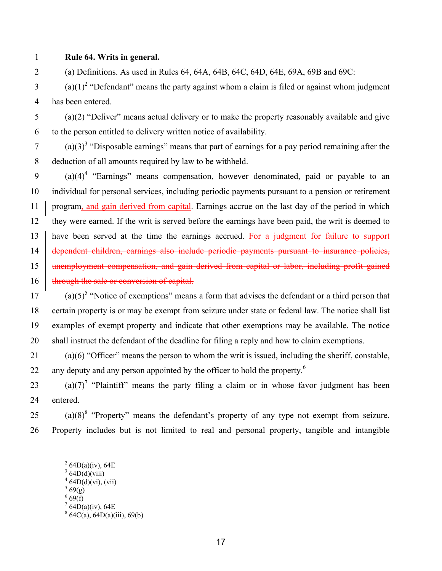## 1 **Rule 64. Writs in general.**

2 (a) Definitions. As used in Rules 64, 64A, 64B, 64C, 64D, 64E, 69A, 69B and 69C:

 $(2)(1)^2$  "Defendant" means the party against whom a claim is filed or against whom judgment 4 has been entered.

5 (a)(2) "Deliver" means actual delivery or to make the property reasonably available and give 6 to the person entitled to delivery written notice of availability.

(a)(3)<sup>3</sup> "Disposable earnings" means that part of earnings for a pay period remaining after the 8 deduction of all amounts required by law to be withheld.

 $(9)$   $(a)(4)^4$  "Earnings" means compensation, however denominated, paid or payable to an 10 individual for personal services, including periodic payments pursuant to a pension or retirement 11 program, and gain derived from capital. Earnings accrue on the last day of the period in which 12 they were earned. If the writ is served before the earnings have been paid, the writ is deemed to 13 have been served at the time the earnings accrued. For a judgment for failure to support 14 dependent children, earnings also include periodic payments pursuant to insurance policies, 15 | unemployment compensation, and gain derived from capital or labor, including profit gained 16 | through the sale or conversion of capital.

 $(17 \quad (a) (5)^5$  "Notice of exemptions" means a form that advises the defendant or a third person that 18 certain property is or may be exempt from seizure under state or federal law. The notice shall list 19 examples of exempt property and indicate that other exemptions may be available. The notice 20 shall instruct the defendant of the deadline for filing a reply and how to claim exemptions.

21 (a)(6) "Officer" means the person to whom the writ is issued, including the sheriff, constable, 22 any deputy and any person appointed by the officer to hold the property.<sup>6</sup>

(a)(7)<sup>7</sup> "Plaintiff" means the party filing a claim or in whose favor judgment has been 24 entered.

25 (a)(8)<sup>8</sup> "Property" means the defendant's property of any type not exempt from seizure. 26 Property includes but is not limited to real and personal property, tangible and intangible

 $569(g)$ 

 $7\,64D(a)(iv)$ , 64E

 <sup>2</sup>  $^{2}$  64D(a)(iv), 64E

 $364D(d)(viii)$ 

 $464D(d)(vi)$ , (vii)

 $66(6)$ 

 $864C(a), 64D(a)(iii), 69(b)$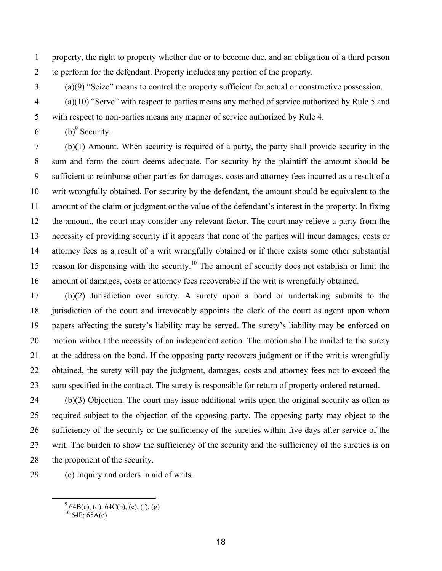1 property, the right to property whether due or to become due, and an obligation of a third person 2 to perform for the defendant. Property includes any portion of the property.

- 3 (a)(9) "Seize" means to control the property sufficient for actual or constructive possession.
- 4 (a)(10) "Serve" with respect to parties means any method of service authorized by Rule 5 and 5 with respect to non-parties means any manner of service authorized by Rule 4.
- $6$  (b)<sup>9</sup> Security.

7 (b)(1) Amount. When security is required of a party, the party shall provide security in the 8 sum and form the court deems adequate. For security by the plaintiff the amount should be 9 sufficient to reimburse other parties for damages, costs and attorney fees incurred as a result of a 10 writ wrongfully obtained. For security by the defendant, the amount should be equivalent to the 11 amount of the claim or judgment or the value of the defendant's interest in the property. In fixing 12 the amount, the court may consider any relevant factor. The court may relieve a party from the 13 necessity of providing security if it appears that none of the parties will incur damages, costs or 14 attorney fees as a result of a writ wrongfully obtained or if there exists some other substantial 15 reason for dispensing with the security.<sup>10</sup> The amount of security does not establish or limit the 16 amount of damages, costs or attorney fees recoverable if the writ is wrongfully obtained.

17 (b)(2) Jurisdiction over surety. A surety upon a bond or undertaking submits to the 18 jurisdiction of the court and irrevocably appoints the clerk of the court as agent upon whom 19 papers affecting the surety's liability may be served. The surety's liability may be enforced on 20 motion without the necessity of an independent action. The motion shall be mailed to the surety 21 at the address on the bond. If the opposing party recovers judgment or if the writ is wrongfully 22 obtained, the surety will pay the judgment, damages, costs and attorney fees not to exceed the 23 sum specified in the contract. The surety is responsible for return of property ordered returned.

24 (b)(3) Objection. The court may issue additional writs upon the original security as often as 25 required subject to the objection of the opposing party. The opposing party may object to the 26 sufficiency of the security or the sufficiency of the sureties within five days after service of the 27 writ. The burden to show the sufficiency of the security and the sufficiency of the sureties is on 28 the proponent of the security.

29 (c) Inquiry and orders in aid of writs.

 $\frac{1}{9}$  $^{9}$  64B(c), (d). 64C(b), (c), (f), (g)

 $^{10}$  64F; 65A(c)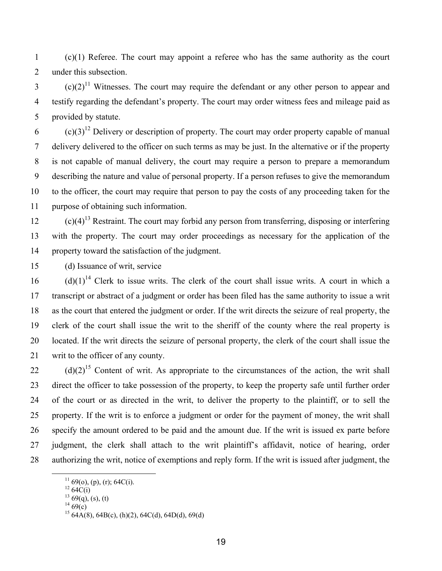1 (c)(1) Referee. The court may appoint a referee who has the same authority as the court 2 under this subsection.

 $(2)^{11}$  Witnesses. The court may require the defendant or any other person to appear and 4 testify regarding the defendant's property. The court may order witness fees and mileage paid as 5 provided by statute.

 $(2)(3)^{12}$  Delivery or description of property. The court may order property capable of manual 7 delivery delivered to the officer on such terms as may be just. In the alternative or if the property 8 is not capable of manual delivery, the court may require a person to prepare a memorandum 9 describing the nature and value of personal property. If a person refuses to give the memorandum 10 to the officer, the court may require that person to pay the costs of any proceeding taken for the 11 purpose of obtaining such information.

 $(2)$  (c)(4)<sup>13</sup> Restraint. The court may forbid any person from transferring, disposing or interfering 13 with the property. The court may order proceedings as necessary for the application of the 14 property toward the satisfaction of the judgment.

15 (d) Issuance of writ, service

 $(16$  (d)(1)<sup>14</sup> Clerk to issue writs. The clerk of the court shall issue writs. A court in which a 17 transcript or abstract of a judgment or order has been filed has the same authority to issue a writ 18 as the court that entered the judgment or order. If the writ directs the seizure of real property, the 19 clerk of the court shall issue the writ to the sheriff of the county where the real property is 20 located. If the writ directs the seizure of personal property, the clerk of the court shall issue the 21 writ to the officer of any county.

(d)(2)<sup>15</sup> Content of writ. As appropriate to the circumstances of the action, the writ shall 23 direct the officer to take possession of the property, to keep the property safe until further order 24 of the court or as directed in the writ, to deliver the property to the plaintiff, or to sell the 25 property. If the writ is to enforce a judgment or order for the payment of money, the writ shall 26 specify the amount ordered to be paid and the amount due. If the writ is issued ex parte before 27 judgment, the clerk shall attach to the writ plaintiff's affidavit, notice of hearing, order 28 authorizing the writ, notice of exemptions and reply form. If the writ is issued after judgment, the

 $11\,69$ (o), (p), (r); 64C(i).

 $^{12}64C(i)$ 

 $^{13}$  69(q), (s), (t)

 $14\,69(c)$ 

 $^{15}$  64A(8), 64B(c), (h)(2), 64C(d), 64D(d), 69(d)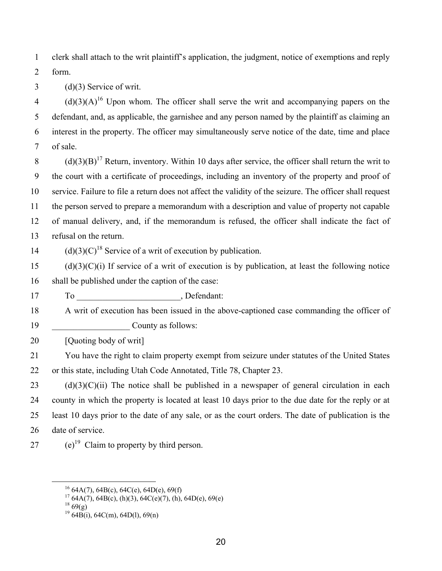1 clerk shall attach to the writ plaintiff's application, the judgment, notice of exemptions and reply 2 form.

3 (d)(3) Service of writ.

 $(1)(3)(A)^{16}$  Upon whom. The officer shall serve the writ and accompanying papers on the 5 defendant, and, as applicable, the garnishee and any person named by the plaintiff as claiming an 6 interest in the property. The officer may simultaneously serve notice of the date, time and place 7 of sale.

 $(3)(3)(B)^{17}$  Return, inventory. Within 10 days after service, the officer shall return the writ to 9 the court with a certificate of proceedings, including an inventory of the property and proof of 10 service. Failure to file a return does not affect the validity of the seizure. The officer shall request 11 the person served to prepare a memorandum with a description and value of property not capable 12 of manual delivery, and, if the memorandum is refused, the officer shall indicate the fact of 13 refusal on the return.

 $(14 \text{ (d)}(3)(C)^{18}$  Service of a writ of execution by publication.

 $15$  (d)(3)(C)(i) If service of a writ of execution is by publication, at least the following notice 16 shall be published under the caption of the case:

17 To Defendant:

18 A writ of execution has been issued in the above-captioned case commanding the officer of 19 **County as follows:** 

20 [Quoting body of writ]

21 You have the right to claim property exempt from seizure under statutes of the United States 22 or this state, including Utah Code Annotated, Title 78, Chapter 23.

 $23$  (d)(3)(C)(ii) The notice shall be published in a newspaper of general circulation in each 24 county in which the property is located at least 10 days prior to the due date for the reply or at 25 least 10 days prior to the date of any sale, or as the court orders. The date of publication is the 26 date of service.

27 (e)<sup>19</sup> Claim to property by third person.

<sup>&</sup>lt;sup>16</sup> 64A(7), 64B(c), 64C(e), 64D(e), 69(f)

 $17\,64A(7), 64B(c), (h)(3), 64C(e)(7), (h), 64D(e), 69(e)$ 

 $18\,69(g)$ 

 $19\,64B(i)$ , 64C(m), 64D(l), 69(n)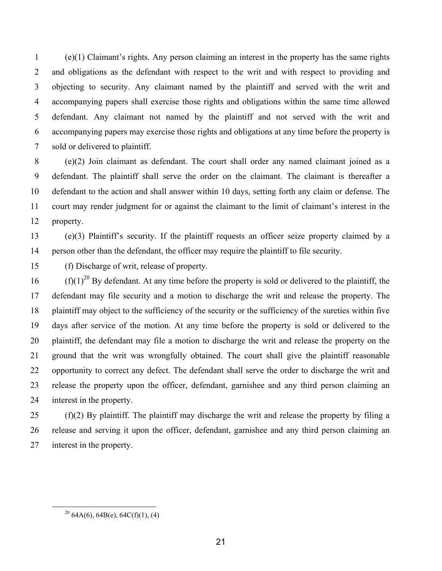1 (e)(1) Claimant's rights. Any person claiming an interest in the property has the same rights 2 and obligations as the defendant with respect to the writ and with respect to providing and 3 objecting to security. Any claimant named by the plaintiff and served with the writ and 4 accompanying papers shall exercise those rights and obligations within the same time allowed 5 defendant. Any claimant not named by the plaintiff and not served with the writ and 6 accompanying papers may exercise those rights and obligations at any time before the property is 7 sold or delivered to plaintiff.

8 (e)(2) Join claimant as defendant. The court shall order any named claimant joined as a 9 defendant. The plaintiff shall serve the order on the claimant. The claimant is thereafter a 10 defendant to the action and shall answer within 10 days, setting forth any claim or defense. The 11 court may render judgment for or against the claimant to the limit of claimant's interest in the 12 property.

13 (e)(3) Plaintiff's security. If the plaintiff requests an officer seize property claimed by a 14 person other than the defendant, the officer may require the plaintiff to file security.

15 (f) Discharge of writ, release of property.

 $(16 \text{ (f)}(1)^{20}$  By defendant. At any time before the property is sold or delivered to the plaintiff, the 17 defendant may file security and a motion to discharge the writ and release the property. The 18 plaintiff may object to the sufficiency of the security or the sufficiency of the sureties within five 19 days after service of the motion. At any time before the property is sold or delivered to the 20 plaintiff, the defendant may file a motion to discharge the writ and release the property on the 21 ground that the writ was wrongfully obtained. The court shall give the plaintiff reasonable 22 opportunity to correct any defect. The defendant shall serve the order to discharge the writ and 23 release the property upon the officer, defendant, garnishee and any third person claiming an 24 interest in the property.

25 (f)(2) By plaintiff. The plaintiff may discharge the writ and release the property by filing a 26 release and serving it upon the officer, defendant, garnishee and any third person claiming an 27 interest in the property.

<sup>&</sup>lt;sup>20</sup> 64A(6), 64B(e), 64C(f)(1), (4)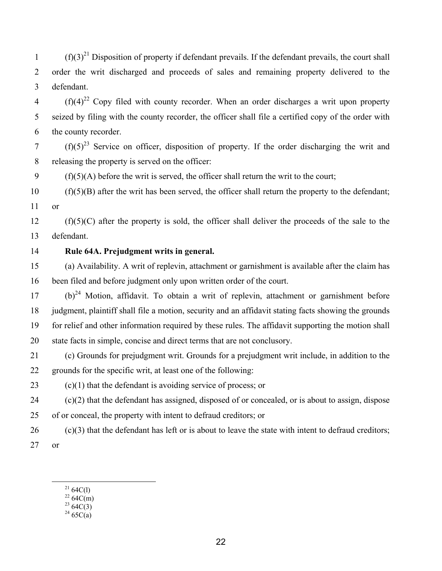$(f)(3)^{21}$  Disposition of property if defendant prevails. If the defendant prevails, the court shall 2 order the writ discharged and proceeds of sales and remaining property delivered to the 3 defendant.

 $(1)(4)^{22}$  Copy filed with county recorder. When an order discharges a writ upon property 5 seized by filing with the county recorder, the officer shall file a certified copy of the order with 6 the county recorder.

(f)(5)<sup>23</sup> Service on officer, disposition of property. If the order discharging the writ and 8 releasing the property is served on the officer:

 $9$  (f)(5)(A) before the writ is served, the officer shall return the writ to the court;

 $10$  (f)(5)(B) after the writ has been served, the officer shall return the property to the defendant; 11 or

 $12$  (f)(5)(C) after the property is sold, the officer shall deliver the proceeds of the sale to the 13 defendant.

## 14 **Rule 64A. Prejudgment writs in general.**

15 (a) Availability. A writ of replevin, attachment or garnishment is available after the claim has 16 been filed and before judgment only upon written order of the court.

 $(17 \t\t(b)^{24}$  Motion, affidavit. To obtain a writ of replevin, attachment or garnishment before 18 judgment, plaintiff shall file a motion, security and an affidavit stating facts showing the grounds 19 for relief and other information required by these rules. The affidavit supporting the motion shall 20 state facts in simple, concise and direct terms that are not conclusory.

21 (c) Grounds for prejudgment writ. Grounds for a prejudgment writ include, in addition to the 22 grounds for the specific writ, at least one of the following:

23  $(c)(1)$  that the defendant is avoiding service of process; or

24 (c)(2) that the defendant has assigned, disposed of or concealed, or is about to assign, dispose 25 of or conceal, the property with intent to defraud creditors; or

 $26$  (c)(3) that the defendant has left or is about to leave the state with intent to defraud creditors; 27 or

 $^{21}64C(1)$ 

 $^{22}$  64C(m)

 $^{23}$  64C(3)  $24\,65C(a)$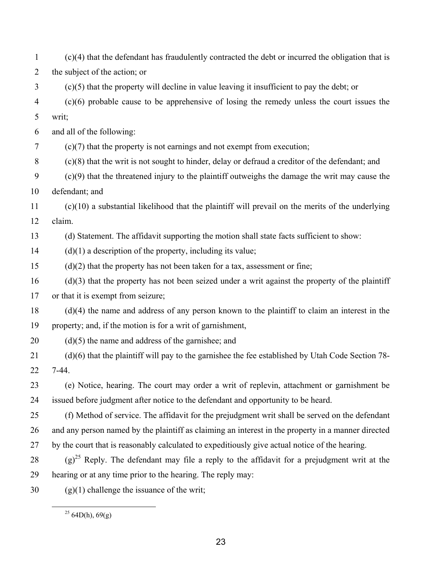1 (c)(4) that the defendant has fraudulently contracted the debt or incurred the obligation that is 2 the subject of the action; or 3 (c)(5) that the property will decline in value leaving it insufficient to pay the debt; or 4 (c)(6) probable cause to be apprehensive of losing the remedy unless the court issues the 5 writ; 6 and all of the following: 7 (c)(7) that the property is not earnings and not exempt from execution; 8 (c)(8) that the writ is not sought to hinder, delay or defraud a creditor of the defendant; and 9 (c)(9) that the threatened injury to the plaintiff outweighs the damage the writ may cause the 10 defendant; and 11 (c)(10) a substantial likelihood that the plaintiff will prevail on the merits of the underlying 12 claim. 13 (d) Statement. The affidavit supporting the motion shall state facts sufficient to show:  $14$  (d)(1) a description of the property, including its value;  $15$  (d)(2) that the property has not been taken for a tax, assessment or fine; 16 (d)(3) that the property has not been seized under a writ against the property of the plaintiff 17 or that it is exempt from seizure; 18 (d)(4) the name and address of any person known to the plaintiff to claim an interest in the 19 property; and, if the motion is for a writ of garnishment,  $20$  (d)(5) the name and address of the garnishee; and 21 (d)(6) that the plaintiff will pay to the garnishee the fee established by Utah Code Section 78- 22 7-44. 23 (e) Notice, hearing. The court may order a writ of replevin, attachment or garnishment be 24 issued before judgment after notice to the defendant and opportunity to be heard. 25 (f) Method of service. The affidavit for the prejudgment writ shall be served on the defendant 26 and any person named by the plaintiff as claiming an interest in the property in a manner directed 27 by the court that is reasonably calculated to expeditiously give actual notice of the hearing. 28 (g)<sup>25</sup> Reply. The defendant may file a reply to the affidavit for a prejudgment writ at the 29 hearing or at any time prior to the hearing. The reply may: 30 (g)(1) challenge the issuance of the writ;

 $25$  64D(h), 69(g)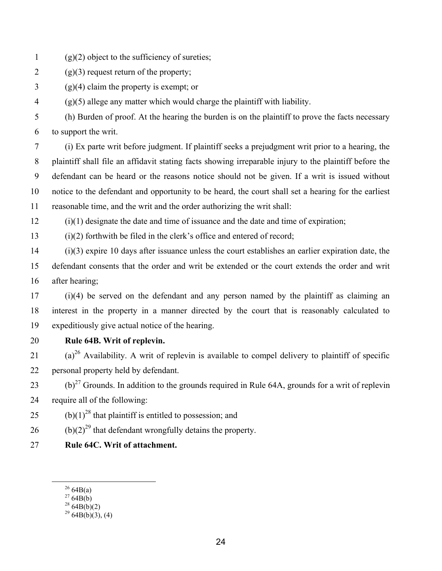- 1 (g)(2) object to the sufficiency of sureties;
- 2 (g)(3) request return of the property;
- $3 \qquad (g)(4)$  claim the property is exempt; or

4 (g)(5) allege any matter which would charge the plaintiff with liability.

5 (h) Burden of proof. At the hearing the burden is on the plaintiff to prove the facts necessary 6 to support the writ.

7 (i) Ex parte writ before judgment. If plaintiff seeks a prejudgment writ prior to a hearing, the 8 plaintiff shall file an affidavit stating facts showing irreparable injury to the plaintiff before the 9 defendant can be heard or the reasons notice should not be given. If a writ is issued without 10 notice to the defendant and opportunity to be heard, the court shall set a hearing for the earliest 11 reasonable time, and the writ and the order authorizing the writ shall:

12 (i)(1) designate the date and time of issuance and the date and time of expiration;

13 (i)(2) forthwith be filed in the clerk's office and entered of record;

14 (i)(3) expire 10 days after issuance unless the court establishes an earlier expiration date, the 15 defendant consents that the order and writ be extended or the court extends the order and writ 16 after hearing;

17 (i)(4) be served on the defendant and any person named by the plaintiff as claiming an 18 interest in the property in a manner directed by the court that is reasonably calculated to 19 expeditiously give actual notice of the hearing.

20 **Rule 64B. Writ of replevin.** 

21 (a)<sup>26</sup> Availability. A writ of replevin is available to compel delivery to plaintiff of specific 22 personal property held by defendant.

23 (b)<sup>27</sup> Grounds. In addition to the grounds required in Rule 64A, grounds for a writ of replevin 24 require all of the following:

25 (b)(1)<sup>28</sup> that plaintiff is entitled to possession; and

26 (b)(2)<sup>29</sup> that defendant wrongfully detains the property.

27 **Rule 64C. Writ of attachment.** 

 $^{28}$  64B(b)(2)

 $2664B(a)$ 

 $^{27}64B(b)$ 

 $2964B(b)(3)$ , (4)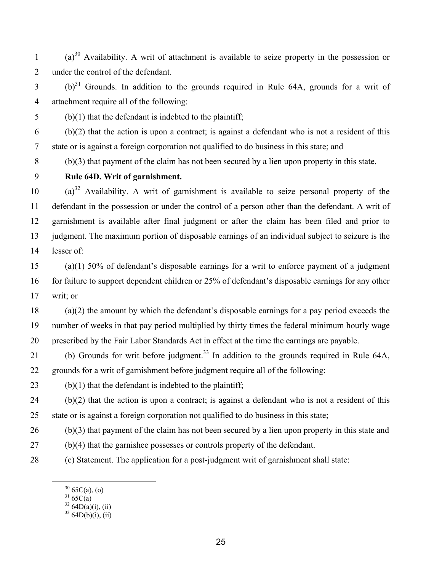$(a)^{30}$  Availability. A writ of attachment is available to seize property in the possession or 2 under the control of the defendant.

 $(6)^{31}$  Grounds. In addition to the grounds required in Rule 64A, grounds for a writ of 4 attachment require all of the following:

5 (b)(1) that the defendant is indebted to the plaintiff;

6 (b)(2) that the action is upon a contract; is against a defendant who is not a resident of this 7 state or is against a foreign corporation not qualified to do business in this state; and

8 (b)(3) that payment of the claim has not been secured by a lien upon property in this state.

## 9 **Rule 64D. Writ of garnishment.**

 $(a)^{32}$  Availability. A writ of garnishment is available to seize personal property of the 11 defendant in the possession or under the control of a person other than the defendant. A writ of 12 garnishment is available after final judgment or after the claim has been filed and prior to 13 judgment. The maximum portion of disposable earnings of an individual subject to seizure is the 14 lesser of:

15 (a)(1) 50% of defendant's disposable earnings for a writ to enforce payment of a judgment 16 for failure to support dependent children or 25% of defendant's disposable earnings for any other 17 writ; or

18 (a)(2) the amount by which the defendant's disposable earnings for a pay period exceeds the 19 number of weeks in that pay period multiplied by thirty times the federal minimum hourly wage 20 prescribed by the Fair Labor Standards Act in effect at the time the earnings are payable.

- (b) Grounds for writ before judgment.<sup>33</sup> In addition to the grounds required in Rule 64A, 22 grounds for a writ of garnishment before judgment require all of the following:
- 23 (b)(1) that the defendant is indebted to the plaintiff;

 $24$  (b)(2) that the action is upon a contract; is against a defendant who is not a resident of this 25 state or is against a foreign corporation not qualified to do business in this state;

26 (b)(3) that payment of the claim has not been secured by a lien upon property in this state and

- 27 (b)(4) that the garnishee possesses or controls property of the defendant.
- 28 (c) Statement. The application for a post-judgment writ of garnishment shall state:
	- $30\,65C(a), (0)$ 
		- $31\,65C(a)$
		- $32\,64D(a)(i)$ , (ii)

 $33\,64D(b)(i)$ , (ii)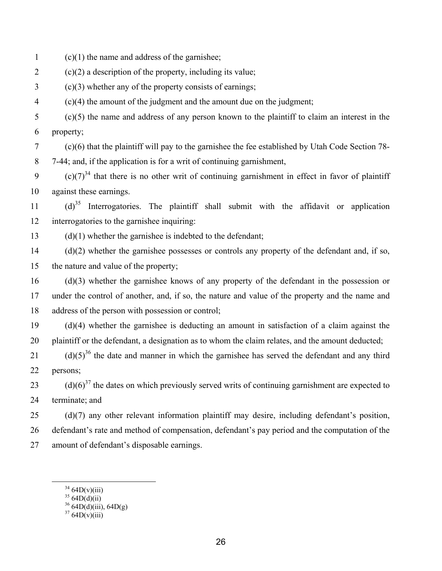1 (c)(1) the name and address of the garnishee;

- 2 (c)(2) a description of the property, including its value;
- 3 (c)(3) whether any of the property consists of earnings;
- 4 (c)(4) the amount of the judgment and the amount due on the judgment;
- 5 (c)(5) the name and address of any person known to the plaintiff to claim an interest in the 6 property;

7 (c)(6) that the plaintiff will pay to the garnishee the fee established by Utah Code Section 78-

8 7-44; and, if the application is for a writ of continuing garnishment,

9 (c)(7)<sup>34</sup> that there is no other writ of continuing garnishment in effect in favor of plaintiff 10 against these earnings.

 $(1)$   $(d)^{35}$  Interrogatories. The plaintiff shall submit with the affidavit or application 12 interrogatories to the garnishee inquiring:

 $13$  (d)(1) whether the garnishee is indebted to the defendant;

14 (d)(2) whether the garnishee possesses or controls any property of the defendant and, if so, 15 the nature and value of the property;

16 (d)(3) whether the garnishee knows of any property of the defendant in the possession or 17 under the control of another, and, if so, the nature and value of the property and the name and 18 address of the person with possession or control;

19 (d)(4) whether the garnishee is deducting an amount in satisfaction of a claim against the 20 plaintiff or the defendant, a designation as to whom the claim relates, and the amount deducted;

(d)(5)<sup>36</sup> the date and manner in which the garnishee has served the defendant and any third 22 persons;

(d) $(6)^{37}$  the dates on which previously served writs of continuing garnishment are expected to 24 terminate; and

25 (d)(7) any other relevant information plaintiff may desire, including defendant's position,

26 defendant's rate and method of compensation, defendant's pay period and the computation of the

- 27 amount of defendant's disposable earnings.
	- $3464D(v)(iii)$

 $3564D(d)(ii)$ 

 $36\,64D(d)(iii)$ , 64D(g)

 $3764D(v)(iii)$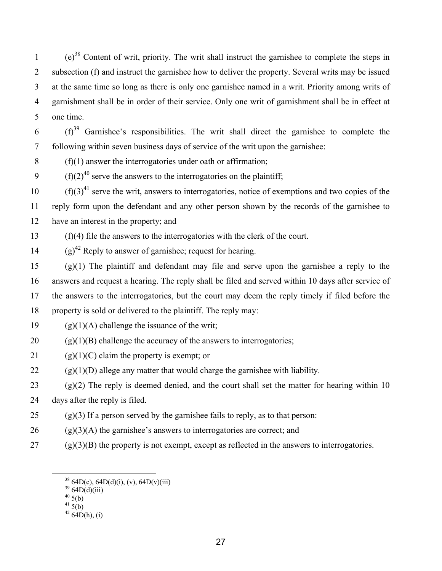$(e)^{38}$  Content of writ, priority. The writ shall instruct the garnishee to complete the steps in 2 subsection (f) and instruct the garnishee how to deliver the property. Several writs may be issued 3 at the same time so long as there is only one garnishee named in a writ. Priority among writs of 4 garnishment shall be in order of their service. Only one writ of garnishment shall be in effect at 5 one time.

 $(6)$   $(f)^{39}$  Garnishee's responsibilities. The writ shall direct the garnishee to complete the 7 following within seven business days of service of the writ upon the garnishee:

 $8$  (f)(1) answer the interrogatories under oath or affirmation;

 $(6)(2)^{40}$  serve the answers to the interrogatories on the plaintiff;

 $(10 \text{ (}f)(3)^{41}$  serve the writ, answers to interrogatories, notice of exemptions and two copies of the 11 reply form upon the defendant and any other person shown by the records of the garnishee to 12 have an interest in the property; and

13 (f)(4) file the answers to the interrogatories with the clerk of the court.

 $(9)^{42}$  Reply to answer of garnishee; request for hearing.

15 (g)(1) The plaintiff and defendant may file and serve upon the garnishee a reply to the 16 answers and request a hearing. The reply shall be filed and served within 10 days after service of 17 the answers to the interrogatories, but the court may deem the reply timely if filed before the 18 property is sold or delivered to the plaintiff. The reply may:

19 (g)(1)(A) challenge the issuance of the writ;

20 (g)(1)(B) challenge the accuracy of the answers to interrogatories;

21 (g)(1)(C) claim the property is exempt; or

 $22$  (g)(1)(D) allege any matter that would charge the garnishee with liability.

 $(2)$  (g)(2) The reply is deemed denied, and the court shall set the matter for hearing within 10

24 days after the reply is filed.

 $25$  (g)(3) If a person served by the garnishee fails to reply, as to that person:

 $26$  (g)(3)(A) the garnishee's answers to interrogatories are correct; and

 $27$  (g)(3)(B) the property is not exempt, except as reflected in the answers to interrogatories.

 $41\overline{5(b)}$ 

 $^{38}_{39}$  64D(c), 64D(d)(ii), (v), 64D(v)(iii)  $^{39}_{39}$  64D(d)(iii)

 $40\,5(b)$ 

 $42\,64D(h),$  (i)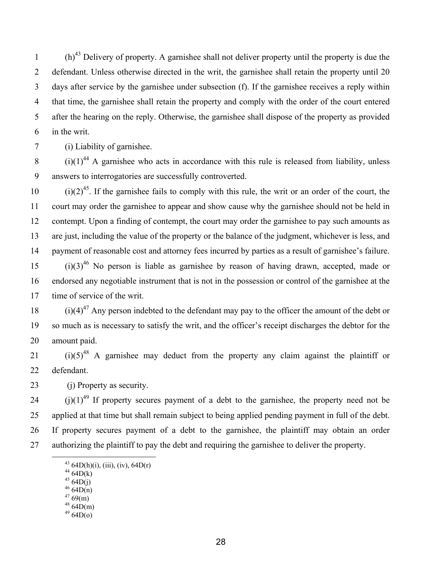(h)<sup>43</sup> Delivery of property. A garnishee shall not deliver property until the property is due the 2 defendant. Unless otherwise directed in the writ, the garnishee shall retain the property until 20 3 days after service by the garnishee under subsection (f). If the garnishee receives a reply within 4 that time, the garnishee shall retain the property and comply with the order of the court entered 5 after the hearing on the reply. Otherwise, the garnishee shall dispose of the property as provided 6 in the writ.

7 (i) Liability of garnishee.

 $(1)(1)^{44}$  A garnishee who acts in accordance with this rule is released from liability, unless 9 answers to interrogatories are successfully controverted.

 $(i)(2)^{45}$ . If the garnishee fails to comply with this rule, the writ or an order of the court, the 11 court may order the garnishee to appear and show cause why the garnishee should not be held in 12 contempt. Upon a finding of contempt, the court may order the garnishee to pay such amounts as 13 are just, including the value of the property or the balance of the judgment, whichever is less, and 14 payment of reasonable cost and attorney fees incurred by parties as a result of garnishee's failure.  $(i)(3)^{46}$  No person is liable as garnishee by reason of having drawn, accepted, made or 16 endorsed any negotiable instrument that is not in the possession or control of the garnishee at the 17 time of service of the writ.

 $(i)(4)^{47}$  Any person indebted to the defendant may pay to the officer the amount of the debt or 19 so much as is necessary to satisfy the writ, and the officer's receipt discharges the debtor for the 20 amount paid.

 $(i)(5)^{48}$  A garnishee may deduct from the property any claim against the plaintiff or 22 defendant.

23 (j) Property as security.

 $(1)(1)^{49}$  If property secures payment of a debt to the garnishee, the property need not be 25 applied at that time but shall remain subject to being applied pending payment in full of the debt. 26 If property secures payment of a debt to the garnishee, the plaintiff may obtain an order 27 authorizing the plaintiff to pay the debt and requiring the garnishee to deliver the property.

- $47,69(m)$  $4864D(m)$
- $4964D(0)$

<sup>&</sup>lt;sup>43</sup> 64D(h)(i), (iii), (iv), 64D(r)

 $4464D(k)$ 

 $4564D(j)$ 

 $4664D(n)$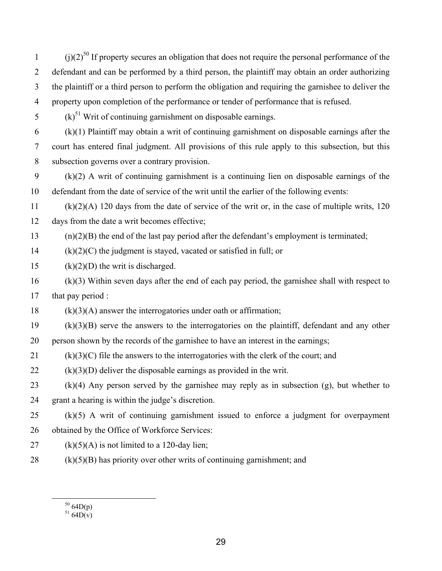$(i)(2)^{50}$  If property secures an obligation that does not require the personal performance of the 2 defendant and can be performed by a third person, the plaintiff may obtain an order authorizing 3 the plaintiff or a third person to perform the obligation and requiring the garnishee to deliver the 4 property upon completion of the performance or tender of performance that is refused.

 $(1.5)$ <sup>51</sup> Writ of continuing garnishment on disposable earnings.

6 (k)(1) Plaintiff may obtain a writ of continuing garnishment on disposable earnings after the 7 court has entered final judgment. All provisions of this rule apply to this subsection, but this 8 subsection governs over a contrary provision.

9 (k)(2) A writ of continuing garnishment is a continuing lien on disposable earnings of the 10 defendant from the date of service of the writ until the earlier of the following events:

11 (k)(2)(A) 120 days from the date of service of the writ or, in the case of multiple writs, 120 12 days from the date a writ becomes effective;

 $(n)(2)(B)$  the end of the last pay period after the defendant's employment is terminated;

 $14$  (k)(2)(C) the judgment is stayed, vacated or satisfied in full; or

15  $(k)(2)(D)$  the writ is discharged.

16 (k)(3) Within seven days after the end of each pay period, the garnishee shall with respect to 17 that pay period :

 $18$  (k)(3)(A) answer the interrogatories under oath or affirmation;

19 (k)(3)(B) serve the answers to the interrogatories on the plaintiff, defendant and any other

20 person shown by the records of the garnishee to have an interest in the earnings;

21  $(k)(3)(C)$  file the answers to the interrogatories with the clerk of the court; and

 $22$  (k)(3)(D) deliver the disposable earnings as provided in the writ.

23 (k)(4) Any person served by the garnishee may reply as in subsection (g), but whether to 24 grant a hearing is within the judge's discretion.

25 (k)(5) A writ of continuing garnishment issued to enforce a judgment for overpayment 26 obtained by the Office of Workforce Services:

- 27 (k) $(5)(A)$  is not limited to a 120-day lien;
- $28$  (k)(5)(B) has priority over other writs of continuing garnishment; and

 $\frac{50}{64D(p)}$ 

 $51\,64D(v)$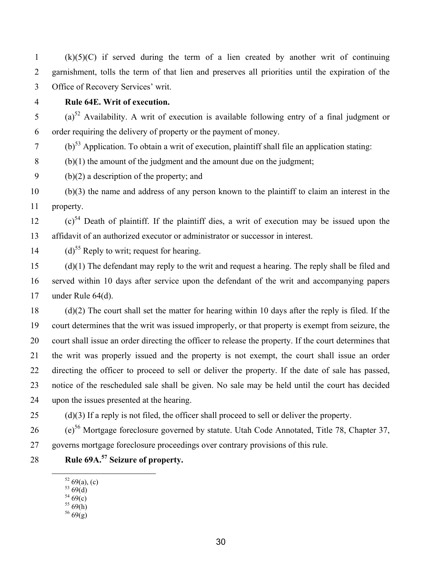1 (k)(5)(C) if served during the term of a lien created by another writ of continuing 2 garnishment, tolls the term of that lien and preserves all priorities until the expiration of the 3 Office of Recovery Services' writ.

4 **Rule 64E. Writ of execution.** 

 $(2.5)$  (a)<sup>52</sup> Availability. A writ of execution is available following entry of a final judgment or 6 order requiring the delivery of property or the payment of money.

 $(6)^{53}$  Application. To obtain a writ of execution, plaintiff shall file an application stating:

8 (b)(1) the amount of the judgment and the amount due on the judgment;

9 (b)(2) a description of the property; and

10 (b)(3) the name and address of any person known to the plaintiff to claim an interest in the 11 property.

 $(12)$   $(c)$ <sup>54</sup> Death of plaintiff. If the plaintiff dies, a writ of execution may be issued upon the 13 affidavit of an authorized executor or administrator or successor in interest.

 $(14 \text{ (d)}^{55}$  Reply to writ; request for hearing.

15 (d)(1) The defendant may reply to the writ and request a hearing. The reply shall be filed and 16 served within 10 days after service upon the defendant of the writ and accompanying papers 17 under Rule 64(d).

18 (d)(2) The court shall set the matter for hearing within 10 days after the reply is filed. If the 19 court determines that the writ was issued improperly, or that property is exempt from seizure, the 20 court shall issue an order directing the officer to release the property. If the court determines that 21 the writ was properly issued and the property is not exempt, the court shall issue an order 22 directing the officer to proceed to sell or deliver the property. If the date of sale has passed, 23 notice of the rescheduled sale shall be given. No sale may be held until the court has decided 24 upon the issues presented at the hearing.

 $25$  (d)(3) If a reply is not filed, the officer shall proceed to sell or deliver the property.

(e)56 26 Mortgage foreclosure governed by statute. Utah Code Annotated, Title 78, Chapter 37, 27 governs mortgage foreclosure proceedings over contrary provisions of this rule.

**Rule 69A.<sup>57</sup>** 28 **Seizure of property.** 

- $54\frac{O(4)}{69(c)}$
- $55\,69(h)$  $56\ (9)(g)$
- 

 $52\,69(a), (c)$ 

 $5369(d)$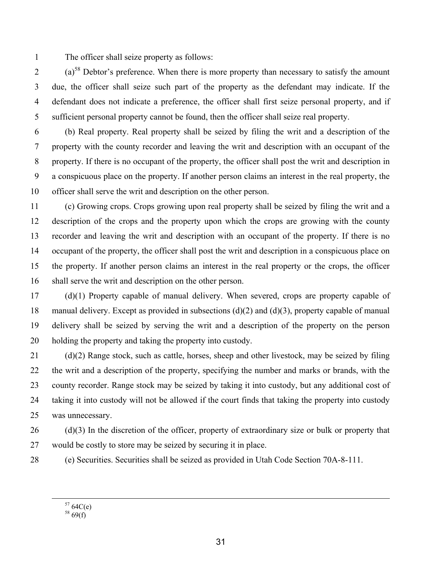1 The officer shall seize property as follows:

 $(2)$  (a)<sup>58</sup> Debtor's preference. When there is more property than necessary to satisfy the amount 3 due, the officer shall seize such part of the property as the defendant may indicate. If the 4 defendant does not indicate a preference, the officer shall first seize personal property, and if 5 sufficient personal property cannot be found, then the officer shall seize real property.

6 (b) Real property. Real property shall be seized by filing the writ and a description of the 7 property with the county recorder and leaving the writ and description with an occupant of the 8 property. If there is no occupant of the property, the officer shall post the writ and description in 9 a conspicuous place on the property. If another person claims an interest in the real property, the 10 officer shall serve the writ and description on the other person.

11 (c) Growing crops. Crops growing upon real property shall be seized by filing the writ and a 12 description of the crops and the property upon which the crops are growing with the county 13 recorder and leaving the writ and description with an occupant of the property. If there is no 14 occupant of the property, the officer shall post the writ and description in a conspicuous place on 15 the property. If another person claims an interest in the real property or the crops, the officer 16 shall serve the writ and description on the other person.

17 (d)(1) Property capable of manual delivery. When severed, crops are property capable of 18 manual delivery. Except as provided in subsections (d)(2) and (d)(3), property capable of manual 19 delivery shall be seized by serving the writ and a description of the property on the person 20 holding the property and taking the property into custody.

21 (d)(2) Range stock, such as cattle, horses, sheep and other livestock, may be seized by filing 22 the writ and a description of the property, specifying the number and marks or brands, with the 23 county recorder. Range stock may be seized by taking it into custody, but any additional cost of 24 taking it into custody will not be allowed if the court finds that taking the property into custody 25 was unnecessary.

 $26$  (d)(3) In the discretion of the officer, property of extraordinary size or bulk or property that 27 would be costly to store may be seized by securing it in place.

28 (e) Securities. Securities shall be seized as provided in Utah Code Section 70A-8-111.

 $5764C(e)$ 

 $58\,69(f)$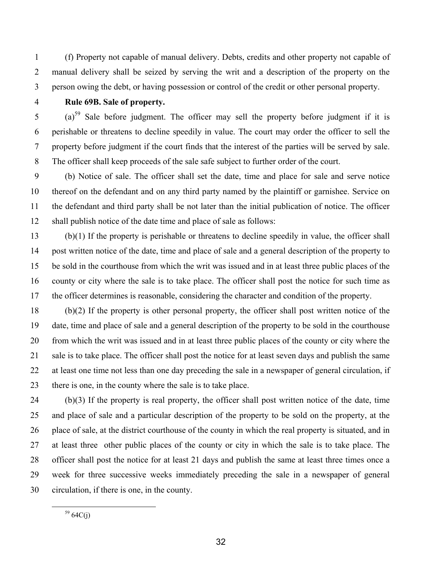1 (f) Property not capable of manual delivery. Debts, credits and other property not capable of 2 manual delivery shall be seized by serving the writ and a description of the property on the 3 person owing the debt, or having possession or control of the credit or other personal property.

## 4 **Rule 69B. Sale of property.**

5 (a)<sup>59</sup> Sale before judgment. The officer may sell the property before judgment if it is 6 perishable or threatens to decline speedily in value. The court may order the officer to sell the 7 property before judgment if the court finds that the interest of the parties will be served by sale. 8 The officer shall keep proceeds of the sale safe subject to further order of the court.

9 (b) Notice of sale. The officer shall set the date, time and place for sale and serve notice 10 thereof on the defendant and on any third party named by the plaintiff or garnishee. Service on 11 the defendant and third party shall be not later than the initial publication of notice. The officer 12 shall publish notice of the date time and place of sale as follows:

13 (b)(1) If the property is perishable or threatens to decline speedily in value, the officer shall 14 post written notice of the date, time and place of sale and a general description of the property to 15 be sold in the courthouse from which the writ was issued and in at least three public places of the 16 county or city where the sale is to take place. The officer shall post the notice for such time as 17 the officer determines is reasonable, considering the character and condition of the property.

18 (b)(2) If the property is other personal property, the officer shall post written notice of the 19 date, time and place of sale and a general description of the property to be sold in the courthouse 20 from which the writ was issued and in at least three public places of the county or city where the 21 sale is to take place. The officer shall post the notice for at least seven days and publish the same 22 at least one time not less than one day preceding the sale in a newspaper of general circulation, if 23 there is one, in the county where the sale is to take place.

24 (b)(3) If the property is real property, the officer shall post written notice of the date, time 25 and place of sale and a particular description of the property to be sold on the property, at the 26 place of sale, at the district courthouse of the county in which the real property is situated, and in 27 at least three other public places of the county or city in which the sale is to take place. The 28 officer shall post the notice for at least 21 days and publish the same at least three times once a 29 week for three successive weeks immediately preceding the sale in a newspaper of general 30 circulation, if there is one, in the county.

 $5964C(j)$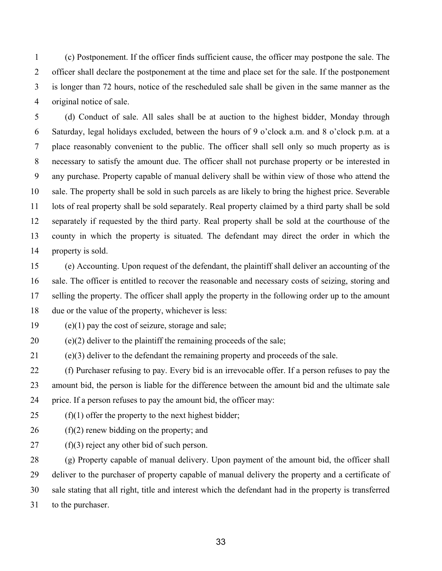1 (c) Postponement. If the officer finds sufficient cause, the officer may postpone the sale. The 2 officer shall declare the postponement at the time and place set for the sale. If the postponement 3 is longer than 72 hours, notice of the rescheduled sale shall be given in the same manner as the 4 original notice of sale.

5 (d) Conduct of sale. All sales shall be at auction to the highest bidder, Monday through 6 Saturday, legal holidays excluded, between the hours of 9 o'clock a.m. and 8 o'clock p.m. at a 7 place reasonably convenient to the public. The officer shall sell only so much property as is 8 necessary to satisfy the amount due. The officer shall not purchase property or be interested in 9 any purchase. Property capable of manual delivery shall be within view of those who attend the 10 sale. The property shall be sold in such parcels as are likely to bring the highest price. Severable 11 lots of real property shall be sold separately. Real property claimed by a third party shall be sold 12 separately if requested by the third party. Real property shall be sold at the courthouse of the 13 county in which the property is situated. The defendant may direct the order in which the 14 property is sold.

15 (e) Accounting. Upon request of the defendant, the plaintiff shall deliver an accounting of the 16 sale. The officer is entitled to recover the reasonable and necessary costs of seizing, storing and 17 selling the property. The officer shall apply the property in the following order up to the amount 18 due or the value of the property, whichever is less:

19 (e)(1) pay the cost of seizure, storage and sale;

20 (e)(2) deliver to the plaintiff the remaining proceeds of the sale;

21 (e)(3) deliver to the defendant the remaining property and proceeds of the sale.

22 (f) Purchaser refusing to pay. Every bid is an irrevocable offer. If a person refuses to pay the 23 amount bid, the person is liable for the difference between the amount bid and the ultimate sale 24 price. If a person refuses to pay the amount bid, the officer may:

25  $(f)(1)$  offer the property to the next highest bidder;

 $26$  (f)(2) renew bidding on the property; and

27 (f)(3) reject any other bid of such person.

28 (g) Property capable of manual delivery. Upon payment of the amount bid, the officer shall 29 deliver to the purchaser of property capable of manual delivery the property and a certificate of 30 sale stating that all right, title and interest which the defendant had in the property is transferred 31 to the purchaser.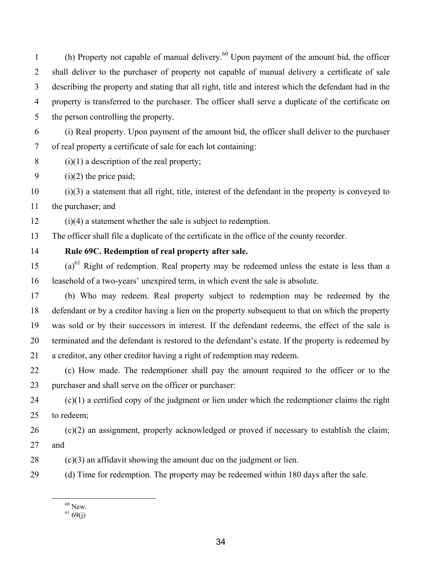(h) Property not capable of manual delivery.<sup>60</sup> Upon payment of the amount bid, the officer 2 shall deliver to the purchaser of property not capable of manual delivery a certificate of sale 3 describing the property and stating that all right, title and interest which the defendant had in the 4 property is transferred to the purchaser. The officer shall serve a duplicate of the certificate on 5 the person controlling the property.

6 (i) Real property. Upon payment of the amount bid, the officer shall deliver to the purchaser 7 of real property a certificate of sale for each lot containing:

8 (i)(1) a description of the real property;

9 (i)(2) the price paid;

10 (i)(3) a statement that all right, title, interest of the defendant in the property is conveyed to 11 the purchaser; and

12 (i)(4) a statement whether the sale is subject to redemption.

13 The officer shall file a duplicate of the certificate in the office of the county recorder.

## 14 **Rule 69C. Redemption of real property after sale.**

 $(15 \text{ (a)}^{61}$  Right of redemption. Real property may be redeemed unless the estate is less than a 16 leasehold of a two-years' unexpired term, in which event the sale is absolute.

17 (b) Who may redeem. Real property subject to redemption may be redeemed by the 18 defendant or by a creditor having a lien on the property subsequent to that on which the property 19 was sold or by their successors in interest. If the defendant redeems, the effect of the sale is 20 terminated and the defendant is restored to the defendant's estate. If the property is redeemed by 21 a creditor, any other creditor having a right of redemption may redeem.

22 (c) How made. The redemptioner shall pay the amount required to the officer or to the 23 purchaser and shall serve on the officer or purchaser:

 $24$  (c)(1) a certified copy of the judgment or lien under which the redemptioner claims the right 25 to redeem;

 $26$  (c)(2) an assignment, properly acknowledged or proved if necessary to establish the claim; 27 and

28 (c)(3) an affidavit showing the amount due on the judgment or lien.

29 (d) Time for redemption. The property may be redeemed within 180 days after the sale.

 $^{60}$  New.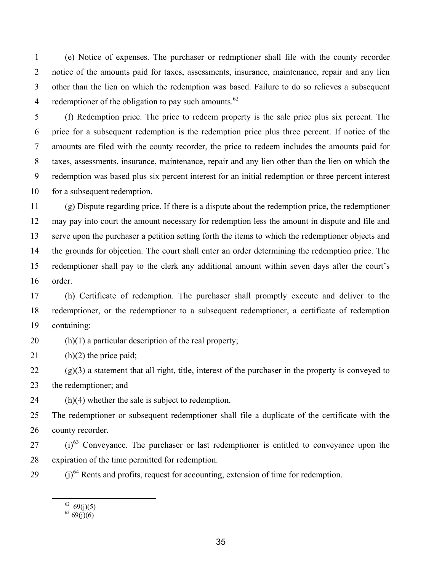1 (e) Notice of expenses. The purchaser or redmptioner shall file with the county recorder 2 notice of the amounts paid for taxes, assessments, insurance, maintenance, repair and any lien 3 other than the lien on which the redemption was based. Failure to do so relieves a subsequent 4 redemptioner of the obligation to pay such amounts. $62$ 

5 (f) Redemption price. The price to redeem property is the sale price plus six percent. The 6 price for a subsequent redemption is the redemption price plus three percent. If notice of the 7 amounts are filed with the county recorder, the price to redeem includes the amounts paid for 8 taxes, assessments, insurance, maintenance, repair and any lien other than the lien on which the 9 redemption was based plus six percent interest for an initial redemption or three percent interest 10 for a subsequent redemption.

11 (g) Dispute regarding price. If there is a dispute about the redemption price, the redemptioner 12 may pay into court the amount necessary for redemption less the amount in dispute and file and 13 serve upon the purchaser a petition setting forth the items to which the redemptioner objects and 14 the grounds for objection. The court shall enter an order determining the redemption price. The 15 redemptioner shall pay to the clerk any additional amount within seven days after the court's 16 order.

17 (h) Certificate of redemption. The purchaser shall promptly execute and deliver to the 18 redemptioner, or the redemptioner to a subsequent redemptioner, a certificate of redemption 19 containing:

20 (h) $(1)$  a particular description of the real property;

21 (h)(2) the price paid;

 $22$  (g)(3) a statement that all right, title, interest of the purchaser in the property is conveyed to 23 the redemptioner; and

24 (h)(4) whether the sale is subject to redemption.

25 The redemptioner or subsequent redemptioner shall file a duplicate of the certificate with the 26 county recorder.

- $(1)^{63}$  Conveyance. The purchaser or last redemptioner is entitled to conveyance upon the 28 expiration of the time permitted for redemption.
- $(1)^{64}$  Rents and profits, request for accounting, extension of time for redemption.

 $62 \quad 69(j)(5)$ 

 $63\,69(j)(6)$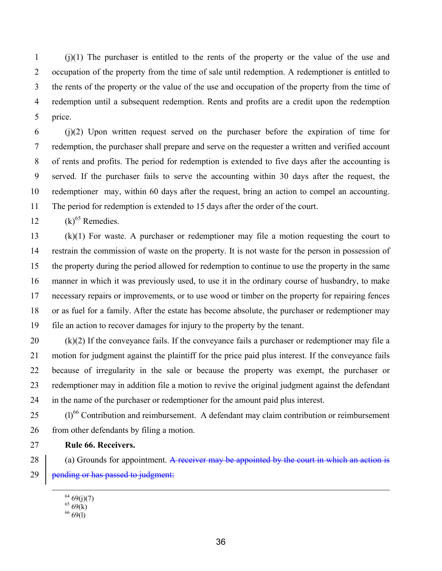1 (j)(1) The purchaser is entitled to the rents of the property or the value of the use and 2 occupation of the property from the time of sale until redemption. A redemptioner is entitled to 3 the rents of the property or the value of the use and occupation of the property from the time of 4 redemption until a subsequent redemption. Rents and profits are a credit upon the redemption 5 price.

6 (j)(2) Upon written request served on the purchaser before the expiration of time for 7 redemption, the purchaser shall prepare and serve on the requester a written and verified account 8 of rents and profits. The period for redemption is extended to five days after the accounting is 9 served. If the purchaser fails to serve the accounting within 30 days after the request, the 10 redemptioner may, within 60 days after the request, bring an action to compel an accounting. 11 The period for redemption is extended to 15 days after the order of the court.

12  $(k)^{65}$  Remedies.

13 (k)(1) For waste. A purchaser or redemptioner may file a motion requesting the court to 14 restrain the commission of waste on the property. It is not waste for the person in possession of 15 the property during the period allowed for redemption to continue to use the property in the same 16 manner in which it was previously used, to use it in the ordinary course of husbandry, to make 17 necessary repairs or improvements, or to use wood or timber on the property for repairing fences 18 or as fuel for a family. After the estate has become absolute, the purchaser or redemptioner may 19 file an action to recover damages for injury to the property by the tenant.

20 (k)(2) If the conveyance fails. If the conveyance fails a purchaser or redemptioner may file a 21 motion for judgment against the plaintiff for the price paid plus interest. If the conveyance fails 22 because of irregularity in the sale or because the property was exempt, the purchaser or 23 redemptioner may in addition file a motion to revive the original judgment against the defendant 24 in the name of the purchaser or redemptioner for the amount paid plus interest.

25 (l)<sup>66</sup> Contribution and reimbursement. A defendant may claim contribution or reimbursement 26 from other defendants by filing a motion.

27 **Rule 66. Receivers.** 

28 (a) Grounds for appointment. A receiver may be appointed by the court in which an action is  $29$  | pending or has passed to judgment:

 $6469(j)(7)$ 

 $65\,69(k)$ 

 $666(1)$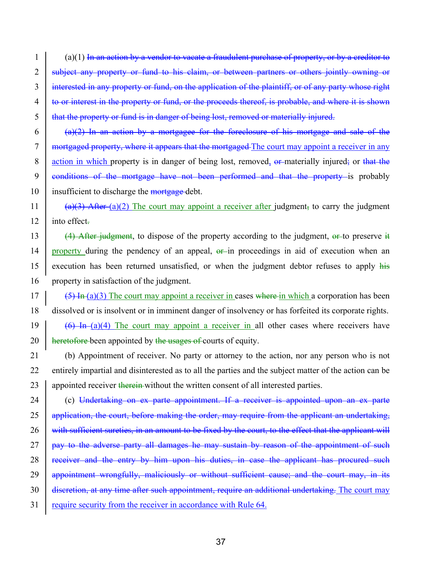$1$  (a)(1) In an action by a vendor to vacate a fraudulent purchase of property, or by a creditor to 2 subject any property or fund to his claim, or between partners or others jointly owning or 3 interested in any property or fund, on the application of the plaintiff, or of any party whose right 4 to or interest in the property or fund, or the proceeds thereof, is probable, and where it is shown 5 that the property or fund is in danger of being lost, removed or materially injured.

6 (a)(2) In an action by a mortgagee for the foreclosure of his mortgage and sale of the 7 mortgaged property, where it appears that the mortgaged The court may appoint a receiver in any 8 action in which property is in danger of being lost, removed, or materially injured; or that the 9 conditions of the mortgage have not been performed and that the property is probably 10 insufficient to discharge the mortgage-debt.

11 (a)(3) After (a)(2) The court may appoint a receiver after judgment, to carry the judgment 12 into effect.

- 13 (4) After judgment, to dispose of the property according to the judgment,  $\theta$  to preserve it 14 property during the pendency of an appeal,  $\theta$ -in proceedings in aid of execution when an 15 execution has been returned unsatisfied, or when the judgment debtor refuses to apply his 16 property in satisfaction of the judgment.
- $17$  (5) In (a)(3) The court may appoint a receiver in cases where in which a corporation has been 18 dissolved or is insolvent or in imminent danger of insolvency or has forfeited its corporate rights.

19 (6) In (a)(4) The court may appoint a receiver in all other cases where receivers have 20  $\parallel$  heretofore-been appointed by the usages of courts of equity.

21 (b) Appointment of receiver. No party or attorney to the action, nor any person who is not 22 entirely impartial and disinterested as to all the parties and the subject matter of the action can be 23 appointed receiver therein without the written consent of all interested parties.

24 (c) Undertaking on ex parte appointment. If a receiver is appointed upon an ex parte 25 application, the court, before making the order, may require from the applicant an undertaking, 26 with sufficient sureties, in an amount to be fixed by the court, to the effect that the applicant will 27 pay to the adverse party all damages he may sustain by reason of the appointment of such 28 receiver and the entry by him upon his duties, in case the applicant has procured such 29 **appointment wrongfully, maliciously or without sufficient cause; and the court may, in its** 30 discretion, at any time after such appointment, require an additional undertaking. The court may 31 require security from the receiver in accordance with Rule 64.

37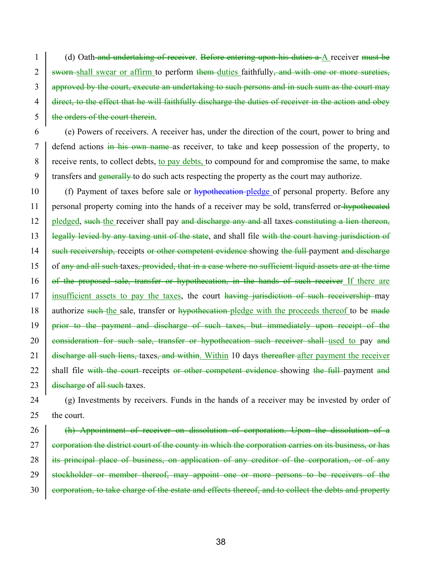1 (d) Oath and undertaking of receiver. Before entering upon his duties a A receiver must be 2 sworn shall swear or affirm to perform them duties faithfully, and with one or more sureties, 3 approved by the court, execute an undertaking to such persons and in such sum as the court may 4 direct, to the effect that he will faithfully discharge the duties of receiver in the action and obey 5 | the orders of the court therein.

6 (e) Powers of receivers. A receiver has, under the direction of the court, power to bring and 7 defend actions in his own name as receiver, to take and keep possession of the property, to 8 receive rents, to collect debts, to pay debts, to compound for and compromise the same, to make 9 transfers and  $\frac{1}{2}$  generally to do such acts respecting the property as the court may authorize.

10 (f) Payment of taxes before sale or hypothecation-pledge of personal property. Before any 11 personal property coming into the hands of a receiver may be sold, transferred or hypothecated 12 pledged, such the receiver shall pay and discharge any and all taxes constituting a lien thereon, 13 | legally levied by any taxing unit of the state, and shall file with the court having jurisdiction of 14 Such receivership, receipts or other competent evidence showing the full payment and discharge 15 of any and all such taxes, provided, that in a case where no sufficient liquid assets are at the time 16 of the proposed sale, transfer or hypothecation, in the hands of such receiver If there are 17 insufficient assets to pay the taxes, the court having jurisdiction of such receivership may 18 authorize such the sale, transfer or hypothecation pledge with the proceeds thereof to be made 19 <del>prior to the payment and discharge of such taxes, but immediately upon receipt of the</del> 20 consideration for such sale, transfer or hypothecation such receiver shall used to pay and 21 **discharge all such liens, taxes, and within**. Within 10 days thereafter after payment the receiver 22 shall file with the court receipts or other competent evidence showing the full payment and 23  $\frac{1}{2}$  discharge of all such taxes.

24 (g) Investments by receivers. Funds in the hands of a receiver may be invested by order of 25 the court.

26 (h) Appointment of receiver on dissolution of corporation. Upon the dissolution of a 27 corporation the district court of the county in which the corporation carries on its business, or has 28 its principal place of business, on application of any creditor of the corporation, or of any 29 <del>stockholder or member thereof, may appoint one or more persons to be receivers of the</del> 30 corporation, to take charge of the estate and effects thereof, and to collect the debts and property